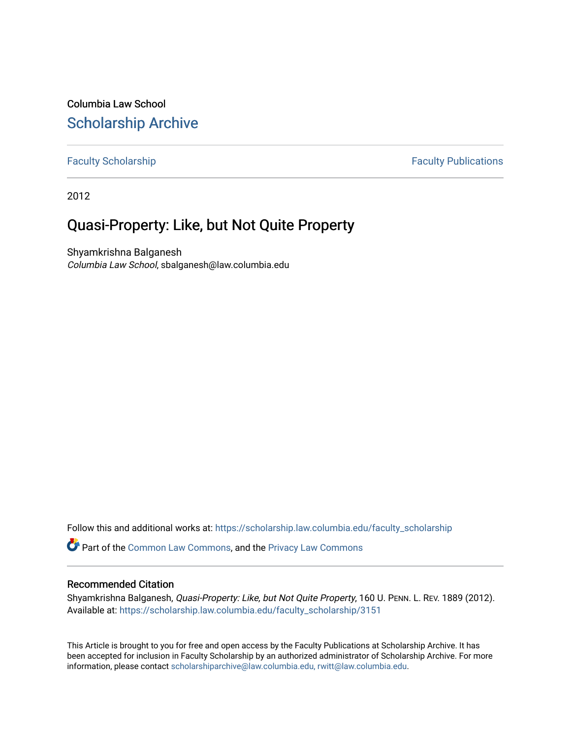Columbia Law School [Scholarship Archive](https://scholarship.law.columbia.edu/) 

[Faculty Scholarship](https://scholarship.law.columbia.edu/faculty_scholarship) **Faculty Scholarship Faculty Publications** 

2012

# Quasi-Property: Like, but Not Quite Property

Shyamkrishna Balganesh Columbia Law School, sbalganesh@law.columbia.edu

Follow this and additional works at: [https://scholarship.law.columbia.edu/faculty\\_scholarship](https://scholarship.law.columbia.edu/faculty_scholarship?utm_source=scholarship.law.columbia.edu%2Ffaculty_scholarship%2F3151&utm_medium=PDF&utm_campaign=PDFCoverPages)

Part of the [Common Law Commons,](http://network.bepress.com/hgg/discipline/1120?utm_source=scholarship.law.columbia.edu%2Ffaculty_scholarship%2F3151&utm_medium=PDF&utm_campaign=PDFCoverPages) and the [Privacy Law Commons](http://network.bepress.com/hgg/discipline/1234?utm_source=scholarship.law.columbia.edu%2Ffaculty_scholarship%2F3151&utm_medium=PDF&utm_campaign=PDFCoverPages)

# Recommended Citation

Shyamkrishna Balganesh, Quasi-Property: Like, but Not Quite Property, 160 U. PENN. L. REV. 1889 (2012). Available at: [https://scholarship.law.columbia.edu/faculty\\_scholarship/3151](https://scholarship.law.columbia.edu/faculty_scholarship/3151?utm_source=scholarship.law.columbia.edu%2Ffaculty_scholarship%2F3151&utm_medium=PDF&utm_campaign=PDFCoverPages)

This Article is brought to you for free and open access by the Faculty Publications at Scholarship Archive. It has been accepted for inclusion in Faculty Scholarship by an authorized administrator of Scholarship Archive. For more information, please contact [scholarshiparchive@law.columbia.edu, rwitt@law.columbia.edu](mailto:scholarshiparchive@law.columbia.edu,%20rwitt@law.columbia.edu).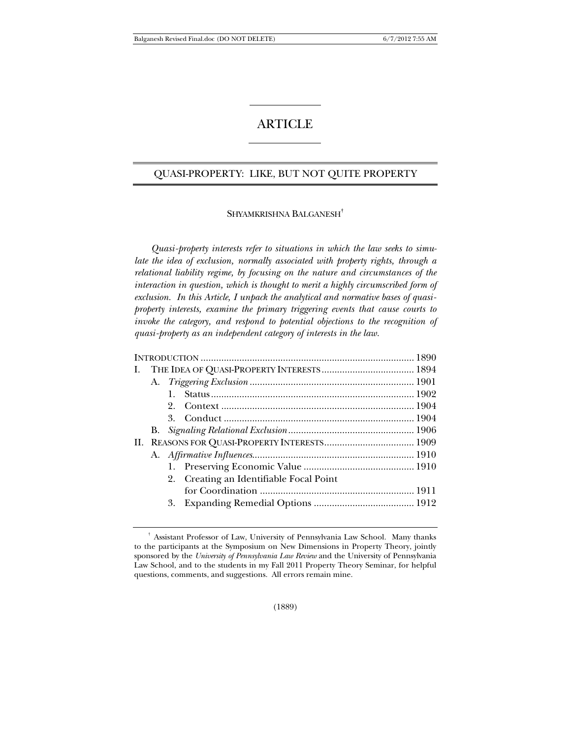# **ARTICLE**

# QUASI-PROPERTY: LIKE, BUT NOT QUITE PROPERTY

#### SHYAMKRISHNA BALGANESH**†**

*Quasi-property interests refer to situations in which the law seeks to simulate the idea of exclusion, normally associated with property rights, through a relational liability regime, by focusing on the nature and circumstances of the interaction in question, which is thought to merit a highly circumscribed form of exclusion. In this Article, I unpack the analytical and normative bases of quasiproperty interests, examine the primary triggering events that cause courts to invoke the category, and respond to potential objections to the recognition of quasi-property as an independent category of interests in the law.* 

| L. |    |         |                                         |  |
|----|----|---------|-----------------------------------------|--|
|    |    |         |                                         |  |
|    |    |         |                                         |  |
|    |    | 2.      |                                         |  |
|    |    | $3_{-}$ |                                         |  |
|    | В. |         |                                         |  |
| H. |    |         |                                         |  |
|    |    |         |                                         |  |
|    |    |         |                                         |  |
|    |    |         | 2. Creating an Identifiable Focal Point |  |
|    |    |         |                                         |  |
|    |    | 3.      |                                         |  |
|    |    |         |                                         |  |

<sup>†</sup> Assistant Professor of Law, University of Pennsylvania Law School. Many thanks to the participants at the Symposium on New Dimensions in Property Theory, jointly sponsored by the *University of Pennsylvania Law Review* and the University of Pennsylvania Law School, and to the students in my Fall 2011 Property Theory Seminar, for helpful questions, comments, and suggestions. All errors remain mine.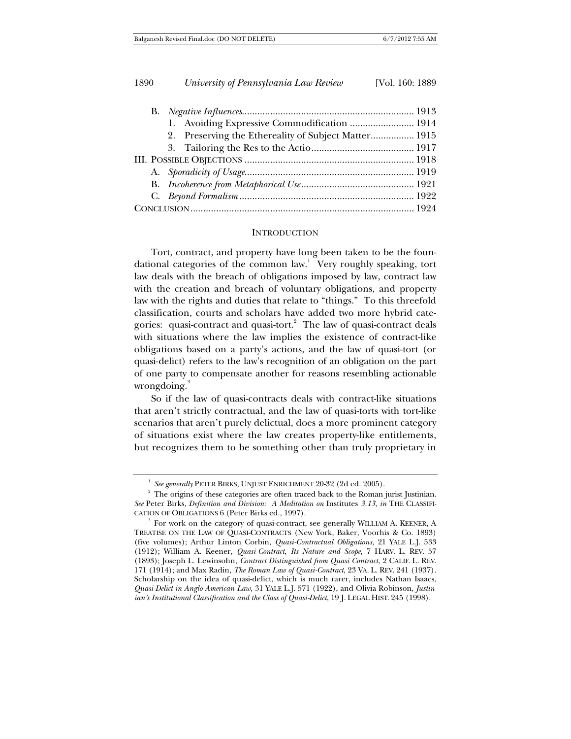|  |  | 1. Avoiding Expressive Commodification  1914         |  |  |
|--|--|------------------------------------------------------|--|--|
|  |  | 2. Preserving the Ethereality of Subject Matter 1915 |  |  |
|  |  |                                                      |  |  |
|  |  |                                                      |  |  |
|  |  |                                                      |  |  |
|  |  |                                                      |  |  |
|  |  |                                                      |  |  |
|  |  |                                                      |  |  |

#### **INTRODUCTION**

Tort, contract, and property have long been taken to be the foundational categories of the common law.<sup>1</sup> Very roughly speaking, tort law deals with the breach of obligations imposed by law, contract law with the creation and breach of voluntary obligations, and property law with the rights and duties that relate to "things." To this threefold classification, courts and scholars have added two more hybrid categories: quasi-contract and quasi-tort.<sup>2</sup> The law of quasi-contract deals with situations where the law implies the existence of contract-like obligations based on a party's actions, and the law of quasi-tort (or quasi-delict) refers to the law's recognition of an obligation on the part of one party to compensate another for reasons resembling actionable wrongdoing.<sup>3</sup>

So if the law of quasi-contracts deals with contract-like situations that aren't strictly contractual, and the law of quasi-torts with tort-like scenarios that aren't purely delictual, does a more prominent category of situations exist where the law creates property-like entitlements, but recognizes them to be something other than truly proprietary in

<sup>&</sup>lt;sup>1</sup> See generally PETER BIRKS, UNJUST ENRICHMENT 20-32 (2d ed. 2005).

<sup>&</sup>lt;sup>2</sup> The origins of these categories are often traced back to the Roman jurist Justinian. *See* Peter Birks, *Definition and Division: A Meditation on* Institutes *3.13*, *in* THE CLASSIFI-CATION OF OBLIGATIONS 6 (Peter Birks ed., 1997).

 $3$  For work on the category of quasi-contract, see generally WILLIAM A. KEENER, A TREATISE ON THE LAW OF QUASI-CONTRACTS (New York, Baker, Voorhis & Co. 1893) (five volumes); Arthur Linton Corbin, *Quasi-Contractual Obligations*, 21 YALE L.J. 533 (1912); William A. Keener, *Quasi-Contract, Its Nature and Scope*, 7 HARV. L. REV. 57 (1893); Joseph L. Lewinsohn, *Contract Distinguished from Quasi Contract*, 2 CALIF. L. REV. 171 (1914); and Max Radin, *The Roman Law of Quasi-Contract*, 23 VA. L. REV. 241 (1937). Scholarship on the idea of quasi-delict, which is much rarer, includes Nathan Isaacs, *Quasi-Delict in Anglo-American Law*, 31 YALE L.J. 571 (1922), and Olivia Robinson, *Justinian's Institutional Classification and the Class of Quasi-Delict*, 19 J. LEGAL HIST. 245 (1998).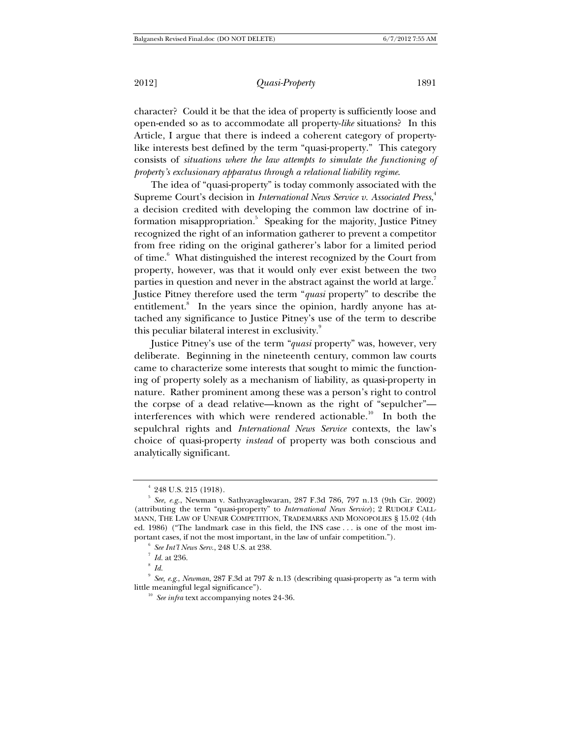character? Could it be that the idea of property is sufficiently loose and open-ended so as to accommodate all property-*like* situations? In this Article, I argue that there is indeed a coherent category of propertylike interests best defined by the term "quasi-property." This category consists of *situations where the law attempts to simulate the functioning of property's exclusionary apparatus through a relational liability regime*.

The idea of "quasi-property" is today commonly associated with the Supreme Court's decision in *International News Service v. Associated Press*, 4 a decision credited with developing the common law doctrine of information misappropriation.<sup>5</sup> Speaking for the majority, Justice Pitney recognized the right of an information gatherer to prevent a competitor from free riding on the original gatherer's labor for a limited period of time.<sup>6</sup> What distinguished the interest recognized by the Court from property, however, was that it would only ever exist between the two parties in question and never in the abstract against the world at large. $^7$ Justice Pitney therefore used the term "*quasi* property" to describe the entitlement.<sup>8</sup> In the years since the opinion, hardly anyone has attached any significance to Justice Pitney's use of the term to describe this peculiar bilateral interest in exclusivity.<sup>9</sup>

Justice Pitney's use of the term "*quasi* property" was, however, very deliberate. Beginning in the nineteenth century, common law courts came to characterize some interests that sought to mimic the functioning of property solely as a mechanism of liability, as quasi-property in nature. Rather prominent among these was a person's right to control the corpse of a dead relative—known as the right of "sepulcher" interferences with which were rendered actionable.<sup>10</sup> In both the sepulchral rights and *International News Service* contexts, the law's choice of quasi-property *instead* of property was both conscious and analytically significant.

 $4$  248 U.S. 215 (1918).

<sup>5</sup> *See, e.g.*, Newman v. Sathyavaglswaran, 287 F.3d 786, 797 n.13 (9th Cir. 2002) (attributing the term "quasi-property" to *International News Service*); 2 RUDOLF CALL-MANN, THE LAW OF UNFAIR COMPETITION, TRADEMARKS AND MONOPOLIES § 15.02 (4th ed. 1986) ("The landmark case in this field, the INS case . . . is one of the most important cases, if not the most important, in the law of unfair competition.").

*See Int'l News Serv*., 248 U.S. at 238. 7

 $^7$  *Id.* at 236.

 $\degree$  *Id.* 

<sup>&</sup>lt;sup>9</sup> *See, e.g., Newman*, 287 F.3d at 797 & n.13 (describing quasi-property as "a term with little meaningful legal significance").

<sup>&</sup>lt;sup>10</sup> See *infra* text accompanying notes 24-36.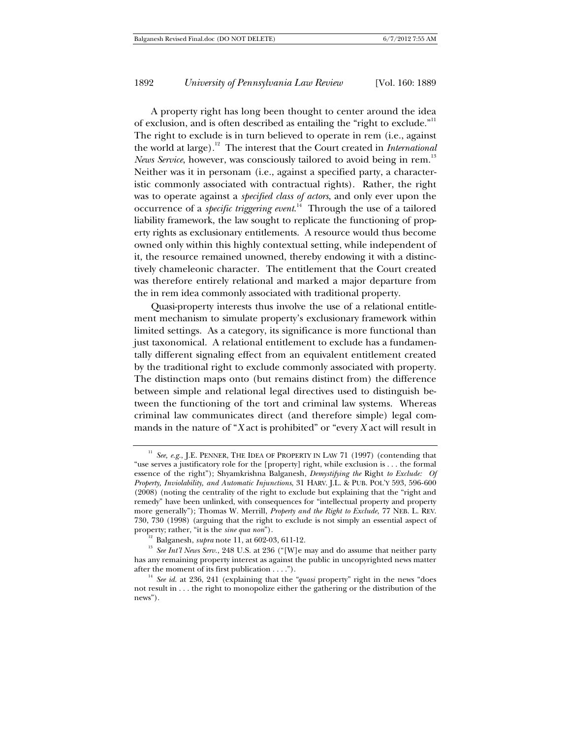A property right has long been thought to center around the idea of exclusion, and is often described as entailing the "right to exclude."<sup>11</sup> The right to exclude is in turn believed to operate in rem (i.e., against the world at large).12 The interest that the Court created in *International News Service*, however, was consciously tailored to avoid being in rem.<sup>13</sup> Neither was it in personam (i.e., against a specified party, a characteristic commonly associated with contractual rights). Rather, the right was to operate against a *specified class of actors*, and only ever upon the occurrence of a *specific triggering event*. 14 Through the use of a tailored liability framework, the law sought to replicate the functioning of property rights as exclusionary entitlements. A resource would thus become owned only within this highly contextual setting, while independent of it, the resource remained unowned, thereby endowing it with a distinctively chameleonic character. The entitlement that the Court created was therefore entirely relational and marked a major departure from the in rem idea commonly associated with traditional property.

Quasi-property interests thus involve the use of a relational entitlement mechanism to simulate property's exclusionary framework within limited settings. As a category, its significance is more functional than just taxonomical. A relational entitlement to exclude has a fundamentally different signaling effect from an equivalent entitlement created by the traditional right to exclude commonly associated with property. The distinction maps onto (but remains distinct from) the difference between simple and relational legal directives used to distinguish between the functioning of the tort and criminal law systems. Whereas criminal law communicates direct (and therefore simple) legal commands in the nature of "*X* act is prohibited" or "every *X* act will result in

<sup>&</sup>lt;sup>11</sup> See, e.g., J.E. PENNER, THE IDEA OF PROPERTY IN LAW 71 (1997) (contending that "use serves a justificatory role for the [property] right, while exclusion is . . . the formal essence of the right"); Shyamkrishna Balganesh, *Demystifying the* Right *to Exclude: Of Property, Inviolability, and Automatic Injunctions*, 31 HARV. J.L. & PUB. POL'Y 593, 596-600 (2008) (noting the centrality of the right to exclude but explaining that the "right and remedy" have been unlinked, with consequences for "intellectual property and property more generally"); Thomas W. Merrill, *Property and the Right to Exclude*, 77 NEB. L. REV. 730, 730 (1998) (arguing that the right to exclude is not simply an essential aspect of

property; rather, "it is the *sine qua non*").<br><sup>12</sup> Balganesh, *supra* note 11, at 602-03, 611-12.<br><sup>13</sup> *See Int'l News Serv.*, 248 U.S. at 236 ("[W]e may and do assume that neither party has any remaining property interest as against the public in uncopyrighted news matter after the moment of its first publication . . . .").<br><sup>14</sup> *See id.* at 236, 241 (explaining that the *"quasi* property" right in the news "does

not result in . . . the right to monopolize either the gathering or the distribution of the news").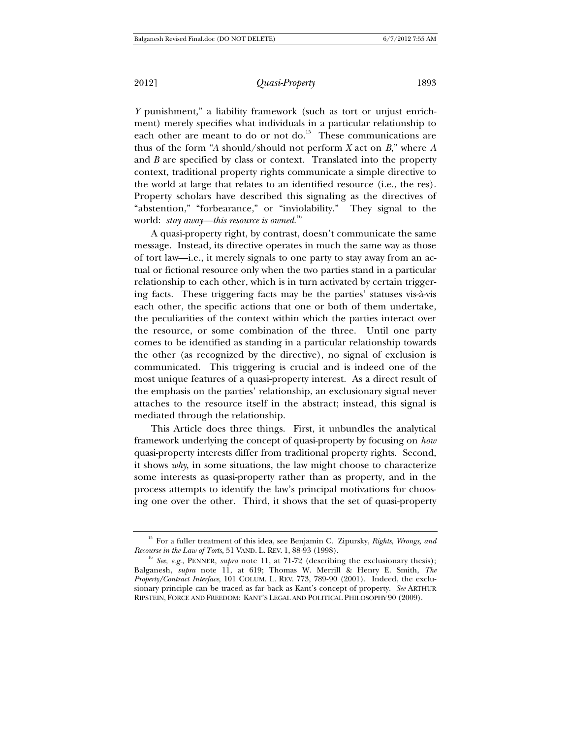2012] *Quasi-Property* 1893

*Y* punishment," a liability framework (such as tort or unjust enrichment) merely specifies what individuals in a particular relationship to each other are meant to do or not do.<sup>15</sup> These communications are thus of the form "*A* should/should not perform *X* act on *B*," where *A* and *B* are specified by class or context. Translated into the property context, traditional property rights communicate a simple directive to the world at large that relates to an identified resource (i.e., the res). Property scholars have described this signaling as the directives of "abstention," "forbearance," or "inviolability." They signal to the world: *stay away—this resource is owned*. 16

A quasi-property right, by contrast, doesn't communicate the same message. Instead, its directive operates in much the same way as those of tort law—i.e., it merely signals to one party to stay away from an actual or fictional resource only when the two parties stand in a particular relationship to each other, which is in turn activated by certain triggering facts. These triggering facts may be the parties' statuses vis-à-vis each other, the specific actions that one or both of them undertake, the peculiarities of the context within which the parties interact over the resource, or some combination of the three. Until one party comes to be identified as standing in a particular relationship towards the other (as recognized by the directive), no signal of exclusion is communicated. This triggering is crucial and is indeed one of the most unique features of a quasi-property interest. As a direct result of the emphasis on the parties' relationship, an exclusionary signal never attaches to the resource itself in the abstract; instead, this signal is mediated through the relationship.

This Article does three things. First, it unbundles the analytical framework underlying the concept of quasi-property by focusing on *how* quasi-property interests differ from traditional property rights. Second, it shows *why*, in some situations, the law might choose to characterize some interests as quasi-property rather than as property, and in the process attempts to identify the law's principal motivations for choosing one over the other. Third, it shows that the set of quasi-property

<sup>&</sup>lt;sup>15</sup> For a fuller treatment of this idea, see Benjamin C. Zipursky, *Rights, Wrongs, and Recourse in the Law of Torts*, 51 VAND. L. REV. 1, 88-93 (1998).

<sup>&</sup>lt;sup>16</sup> See, e.g., PENNER, *supra* note 11, at 71-72 (describing the exclusionary thesis); Balganesh, *supra* note 11, at 619; Thomas W. Merrill & Henry E. Smith, *The Property/Contract Interface*, 101 COLUM. L. REV. 773, 789-90 (2001). Indeed, the exclusionary principle can be traced as far back as Kant's concept of property. *See* ARTHUR RIPSTEIN, FORCE AND FREEDOM: KANT'S LEGAL AND POLITICAL PHILOSOPHY 90 (2009).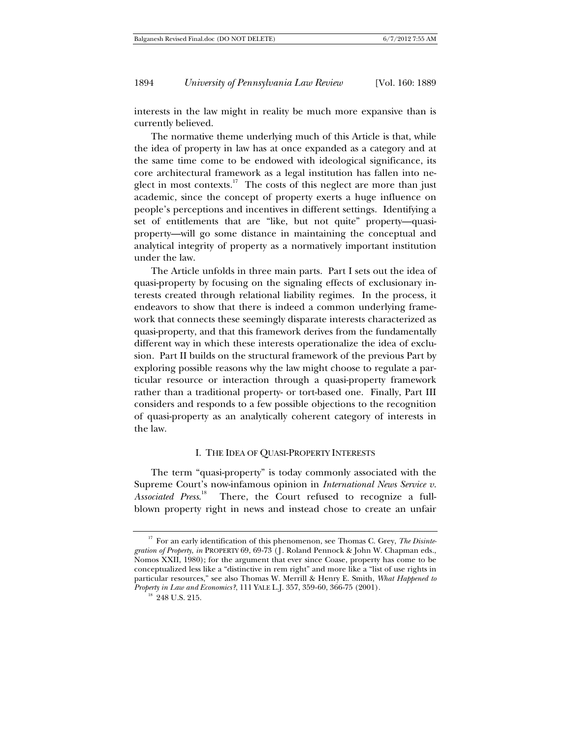interests in the law might in reality be much more expansive than is currently believed.

The normative theme underlying much of this Article is that, while the idea of property in law has at once expanded as a category and at the same time come to be endowed with ideological significance, its core architectural framework as a legal institution has fallen into neglect in most contexts.<sup>17</sup> The costs of this neglect are more than just academic, since the concept of property exerts a huge influence on people's perceptions and incentives in different settings. Identifying a set of entitlements that are "like, but not quite" property—quasiproperty—will go some distance in maintaining the conceptual and analytical integrity of property as a normatively important institution under the law.

The Article unfolds in three main parts. Part I sets out the idea of quasi-property by focusing on the signaling effects of exclusionary interests created through relational liability regimes. In the process, it endeavors to show that there is indeed a common underlying framework that connects these seemingly disparate interests characterized as quasi-property, and that this framework derives from the fundamentally different way in which these interests operationalize the idea of exclusion. Part II builds on the structural framework of the previous Part by exploring possible reasons why the law might choose to regulate a particular resource or interaction through a quasi-property framework rather than a traditional property- or tort-based one. Finally, Part III considers and responds to a few possible objections to the recognition of quasi-property as an analytically coherent category of interests in the law.

#### I. THE IDEA OF QUASI-PROPERTY INTERESTS

The term "quasi-property" is today commonly associated with the Supreme Court's now-infamous opinion in *International News Service v. Associated Press*. There, the Court refused to recognize a fullblown property right in news and instead chose to create an unfair

<sup>&</sup>lt;sup>17</sup> For an early identification of this phenomenon, see Thomas C. Grey, *The Disintegration of Property*, *in* PROPERTY 69, 69-73 (J. Roland Pennock & John W. Chapman eds., Nomos XXII, 1980); for the argument that ever since Coase, property has come to be conceptualized less like a "distinctive in rem right" and more like a "list of use rights in particular resources," see also Thomas W. Merrill & Henry E. Smith, *What Happened to Property in Law and Economics?*, 111 YALE L.J. 357, 359-60, 366-75 (2001). <sup>18</sup> 248 U.S. 215.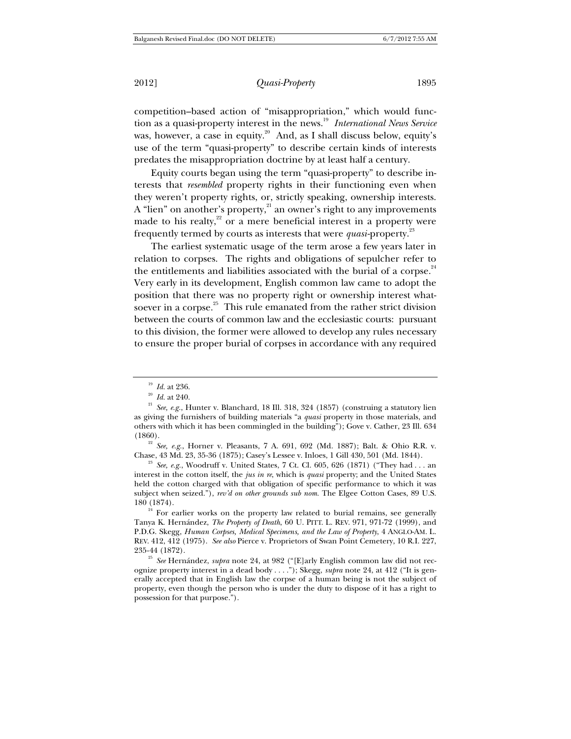competition–based action of "misappropriation," which would function as a quasi-property interest in the news.<sup>19</sup> International News Service was, however, a case in equity.<sup>20</sup> And, as I shall discuss below, equity's use of the term "quasi-property" to describe certain kinds of interests predates the misappropriation doctrine by at least half a century.

Equity courts began using the term "quasi-property" to describe interests that *resembled* property rights in their functioning even when they weren't property rights, or, strictly speaking, ownership interests. A "lien" on another's property,<sup>21</sup> an owner's right to any improvements made to his realty, $2^{2}$  or a mere beneficial interest in a property were frequently termed by courts as interests that were *quasi*-property.23

The earliest systematic usage of the term arose a few years later in relation to corpses. The rights and obligations of sepulcher refer to the entitlements and liabilities associated with the burial of a corpse. $24$ Very early in its development, English common law came to adopt the position that there was no property right or ownership interest whatsoever in a corpse. $25$  This rule emanated from the rather strict division between the courts of common law and the ecclesiastic courts: pursuant to this division, the former were allowed to develop any rules necessary to ensure the proper burial of corpses in accordance with any required

(1860). 22 *See, e.g.*, Horner v. Pleasants, 7 A. 691, 692 (Md. 1887); Balt. & Ohio R.R. v.

<sup>23</sup> See, e.g., Woodruff v. United States, 7 Ct. Cl. 605, 626 (1871) ("They had . . . an interest in the cotton itself, the *jus in re*, which is *quasi* property; and the United States held the cotton charged with that obligation of specific performance to which it was subject when seized."), *rev'd on other grounds sub nom.* The Elgee Cotton Cases, 89 U.S.

180 (1874).<br><sup>24</sup> For earlier works on the property law related to burial remains, see generally Tanya K. Hernández, *The Property of Death*, 60 U. PITT. L. REV. 971, 971-72 (1999), and P.D.G. Skegg, *Human Corpses, Medical Specimens, and the Law of Property*, 4 ANGLO-AM. L. REV. 412, 412 (1975). *See also* Pierce v. Proprietors of Swan Point Cemetery, 10 R.I. 227,

<sup>25</sup> See Hernández, *supra* note 24, at 982 ("[E]arly English common law did not recognize property interest in a dead body . . . ."); Skegg, *supra* note 24, at 412 ("It is generally accepted that in English law the corpse of a human being is not the subject of property, even though the person who is under the duty to dispose of it has a right to possession for that purpose.").

<sup>&</sup>lt;sup>19</sup> *Id.* at 236.<br><sup>20</sup> *Id.* at 240.<br><sup>21</sup> *See, e.g.*, Hunter v. Blanchard, 18 Ill. 318, 324 (1857) (construing a statutory lien as giving the furnishers of building materials "a *quasi* property in those materials, and others with which it has been commingled in the building"); Gove v. Cather, 23 Ill. 634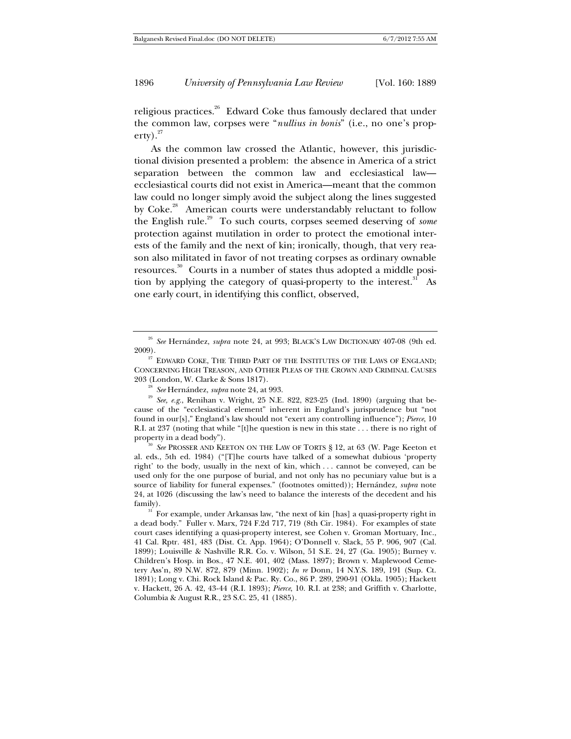religious practices.<sup>26</sup> Edward Coke thus famously declared that under the common law, corpses were "*nullius in bonis*" (i.e., no one's prop- $\text{erty})$ .  $^{27}$ 

As the common law crossed the Atlantic, however, this jurisdictional division presented a problem: the absence in America of a strict separation between the common law and ecclesiastical law ecclesiastical courts did not exist in America—meant that the common law could no longer simply avoid the subject along the lines suggested by Coke.<sup>28</sup> American courts were understandably reluctant to follow the English rule.29 To such courts, corpses seemed deserving of *some* protection against mutilation in order to protect the emotional interests of the family and the next of kin; ironically, though, that very reason also militated in favor of not treating corpses as ordinary ownable resources.30 Courts in a number of states thus adopted a middle position by applying the category of quasi-property to the interest. $31$  As one early court, in identifying this conflict, observed,

al. eds., 5th ed. 1984) ("[T]he courts have talked of a somewhat dubious 'property right' to the body, usually in the next of kin, which . . . cannot be conveyed, can be used only for the one purpose of burial, and not only has no pecuniary value but is a source of liability for funeral expenses." (footnotes omitted)); Hernández, *supra* note 24, at 1026 (discussing the law's need to balance the interests of the decedent and his

<sup>31</sup> For example, under Arkansas law, "the next of kin [has] a quasi-property right in a dead body." Fuller v. Marx, 724 F.2d 717, 719 (8th Cir. 1984). For examples of state court cases identifying a quasi-property interest, see Cohen v. Groman Mortuary, Inc., 41 Cal. Rptr. 481, 483 (Dist. Ct. App. 1964); O'Donnell v. Slack, 55 P. 906, 907 (Cal. 1899); Louisville & Nashville R.R. Co. v. Wilson, 51 S.E. 24, 27 (Ga. 1905); Burney v. Children's Hosp. in Bos., 47 N.E. 401, 402 (Mass. 1897); Brown v. Maplewood Cemetery Ass'n, 89 N.W. 872, 879 (Minn. 1902); *In re* Donn, 14 N.Y.S. 189, 191 (Sup. Ct. 1891); Long v. Chi. Rock Island & Pac. Ry. Co., 86 P. 289, 290-91 (Okla. 1905); Hackett v. Hackett, 26 A. 42, 43-44 (R.I. 1893); *Pierce*, 10. R.I. at 238; and Griffith v. Charlotte, Columbia & August R.R., 23 S.C. 25, 41 (1885).

<sup>26</sup> *See* Hernández, *supra* note 24, at 993; BLACK'S LAW DICTIONARY 407-08 (9th ed. 2009).  $2009$ . EDWARD COKE, THE THIRD PART OF THE INSTITUTES OF THE LAWS OF ENGLAND;

CONCERNING HIGH TREASON, AND OTHER PLEAS OF THE CROWN AND CRIMINAL CAUSES

<sup>203 (</sup>London, W. Clarke & Sons 1817). 28 *See* Hernández, *supra* note 24, at 993. 29 *See, e.g.*, Renihan v. Wright, 25 N.E. 822, 823-25 (Ind. 1890) (arguing that because of the "ecclesiastical element" inherent in England's jurisprudence but "not found in our[s]," England's law should not "exert any controlling influence"); *Pierce*, 10 R.I. at 237 (noting that while "[t]he question is new in this state . . . there is no right of property in a dead body").<br><sup>30</sup> *See* PROSSER AND KEETON ON THE LAW OF TORTS § 12, at 63 (W. Page Keeton et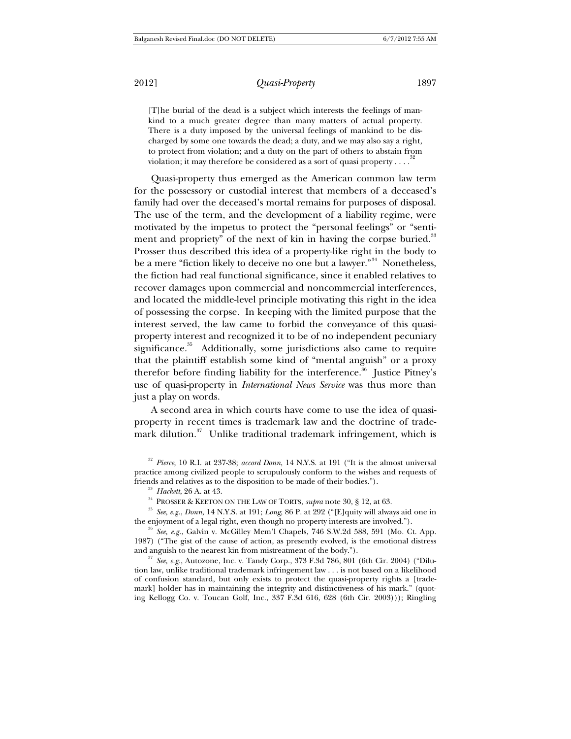[T]he burial of the dead is a subject which interests the feelings of mankind to a much greater degree than many matters of actual property. There is a duty imposed by the universal feelings of mankind to be discharged by some one towards the dead; a duty, and we may also say a right, to protect from violation; and a duty on the part of others to abstain from violation; it may therefore be considered as a sort of quasi property  $\dots$ .

Quasi-property thus emerged as the American common law term for the possessory or custodial interest that members of a deceased's family had over the deceased's mortal remains for purposes of disposal. The use of the term, and the development of a liability regime, were motivated by the impetus to protect the "personal feelings" or "sentiment and propriety" of the next of kin in having the corpse buried.<sup>33</sup> Prosser thus described this idea of a property-like right in the body to be a mere "fiction likely to deceive no one but a lawyer."<sup>34</sup> Nonetheless, the fiction had real functional significance, since it enabled relatives to recover damages upon commercial and noncommercial interferences, and located the middle-level principle motivating this right in the idea of possessing the corpse. In keeping with the limited purpose that the interest served, the law came to forbid the conveyance of this quasiproperty interest and recognized it to be of no independent pecuniary significance.<sup>35</sup> Additionally, some jurisdictions also came to require that the plaintiff establish some kind of "mental anguish" or a proxy therefor before finding liability for the interference.<sup>36</sup> Justice Pitney's use of quasi-property in *International News Service* was thus more than just a play on words.

A second area in which courts have come to use the idea of quasiproperty in recent times is trademark law and the doctrine of trademark dilution.<sup>37</sup> Unlike traditional trademark infringement, which is

<sup>32</sup> *Pierce*, 10 R.I. at 237-38; *accord Donn*, 14 N.Y.S. at 191 ("It is the almost universal practice among civilized people to scrupulously conform to the wishes and requests of friends and relatives as to the disposition to be made of their bodies.").

<sup>33</sup> *Hackett*, 26 A. at 43. 34 PROSSER & KEETON ON THE LAW OF TORTS, *supra* note 30, § 12, at 63. 35 *See, e.g.*, *Donn*, 14 N.Y.S. at 191; *Long*, 86 P. at 292 ("[E]quity will always aid one in the enjoyment of a legal right, even though no property interests are involved."). 36 *See, e.g.*, Galvin v. McGilley Mem'l Chapels, 746 S.W.2d 588, 591 (Mo. Ct. App.

<sup>1987) (&</sup>quot;The gist of the cause of action, as presently evolved, is the emotional distress and anguish to the nearest kin from mistreatment of the body.").<br><sup>37</sup> *See, e.g.*, Autozone, Inc. v. Tandy Corp., 373 F.3d 786, 801 (6th Cir. 2004) ("Dilu-

tion law, unlike traditional trademark infringement law . . . is not based on a likelihood of confusion standard, but only exists to protect the quasi-property rights a [trademark] holder has in maintaining the integrity and distinctiveness of his mark." (quoting Kellogg Co. v. Toucan Golf, Inc., 337 F.3d 616, 628 (6th Cir. 2003))); Ringling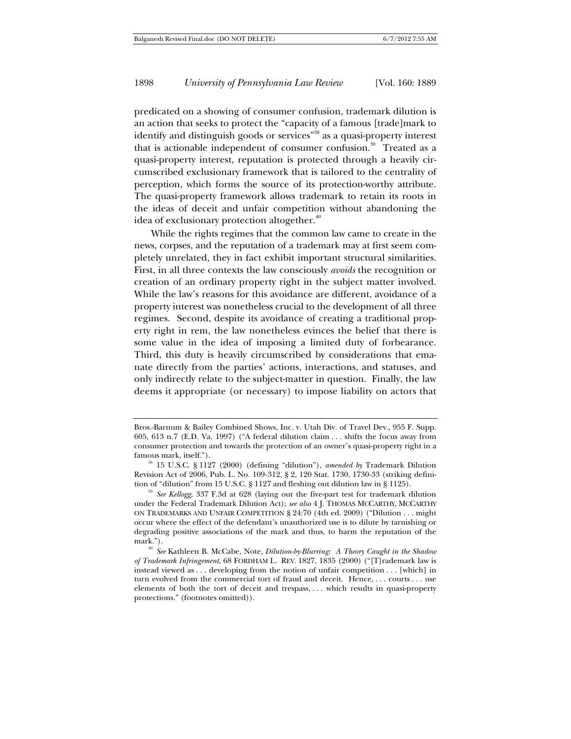predicated on a showing of consumer confusion, trademark dilution is an action that seeks to protect the "capacity of a famous [trade]mark to identify and distinguish goods or services"<sup>38</sup> as a quasi-property interest that is actionable independent of consumer confusion.<sup>39</sup> Treated as a quasi-property interest, reputation is protected through a heavily circumscribed exclusionary framework that is tailored to the centrality of perception, which forms the source of its protection-worthy attribute. The quasi-property framework allows trademark to retain its roots in the ideas of deceit and unfair competition without abandoning the idea of exclusionary protection altogether.<sup>40</sup>

While the rights regimes that the common law came to create in the news, corpses, and the reputation of a trademark may at first seem completely unrelated, they in fact exhibit important structural similarities. First, in all three contexts the law consciously *avoids* the recognition or creation of an ordinary property right in the subject matter involved. While the law's reasons for this avoidance are different, avoidance of a property interest was nonetheless crucial to the development of all three regimes. Second, despite its avoidance of creating a traditional property right in rem, the law nonetheless evinces the belief that there is some value in the idea of imposing a limited duty of forbearance. Third, this duty is heavily circumscribed by considerations that emanate directly from the parties' actions, interactions, and statuses, and only indirectly relate to the subject-matter in question. Finally, the law deems it appropriate (or necessary) to impose liability on actors that

Bros.-Barnum & Bailey Combined Shows, Inc. v. Utah Div. of Travel Dev., 955 F. Supp. 605, 613 n.7 (E.D. Va. 1997) ("A federal dilution claim . . . shifts the focus away from consumer protection and towards the protection of an owner's quasi-property right in a famous mark, itself."). 38 15 U.S.C. § 1127 (2000) (defining "dilution"), *amended by* Trademark Dilution

Revision Act of 2006, Pub. L. No. 109-312, § 2, 120 Stat. 1730, 1730-33 (striking definition of "dilution" from 15 U.S.C. § 1127 and fleshing out dilution law in § 1125).

<sup>&</sup>lt;sup>39</sup> See Kellogg, 337 F.3d at 628 (laying out the five-part test for trademark dilution under the Federal Trademark Dilution Act); *see also* 4 J. THOMAS MCCARTHY, MCCARTHY ON TRADEMARKS AND UNFAIR COMPETITION § 24:70 (4th ed. 2009) ("Dilution . . . might occur where the effect of the defendant's unauthorized use is to dilute by tarnishing or degrading positive associations of the mark and thus, to harm the reputation of the mark."). 40 *See* Kathleen B. McCabe, Note, *Dilution-by-Blurring: A Theory Caught in the Shadow* 

*of Trademark Infringement*, 68 FORDHAM L. REV. 1827, 1835 (2000) ("[T]rademark law is instead viewed as . . . developing from the notion of unfair competition . . . [which] in turn evolved from the commercial tort of fraud and deceit. Hence, . . . courts . . . use elements of both the tort of deceit and trespass, . . . which results in quasi-property protections." (footnotes omitted)).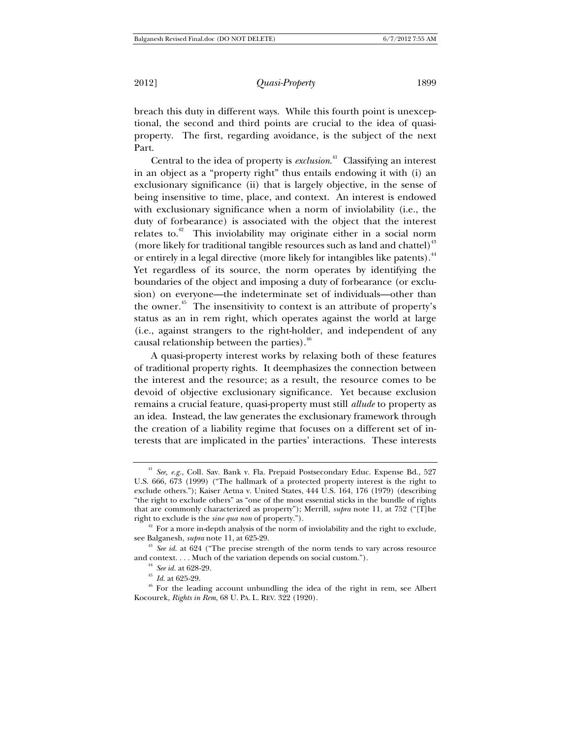breach this duty in different ways. While this fourth point is unexceptional, the second and third points are crucial to the idea of quasiproperty. The first, regarding avoidance, is the subject of the next Part.

Central to the idea of property is *exclusion*. 41 Classifying an interest in an object as a "property right" thus entails endowing it with (i) an exclusionary significance (ii) that is largely objective, in the sense of being insensitive to time, place, and context. An interest is endowed with exclusionary significance when a norm of inviolability (i.e., the duty of forbearance) is associated with the object that the interest relates to.<sup>42</sup> This inviolability may originate either in a social norm (more likely for traditional tangible resources such as land and chattel) $^{43}$ or entirely in a legal directive (more likely for intangibles like patents). $^{44}$ Yet regardless of its source, the norm operates by identifying the boundaries of the object and imposing a duty of forbearance (or exclusion) on everyone—the indeterminate set of individuals—other than the owner.<sup>45</sup> The insensitivity to context is an attribute of property's status as an in rem right, which operates against the world at large (i.e., against strangers to the right-holder, and independent of any causal relationship between the parties).<sup>46</sup>

A quasi-property interest works by relaxing both of these features of traditional property rights. It deemphasizes the connection between the interest and the resource; as a result, the resource comes to be devoid of objective exclusionary significance. Yet because exclusion remains a crucial feature, quasi-property must still *allude* to property as an idea. Instead, the law generates the exclusionary framework through the creation of a liability regime that focuses on a different set of interests that are implicated in the parties' interactions. These interests

<sup>41</sup> *See, e.g.*, Coll. Sav. Bank v. Fla. Prepaid Postsecondary Educ. Expense Bd., 527 U.S. 666, 673 (1999) ("The hallmark of a protected property interest is the right to exclude others."); Kaiser Aetna v. United States, 444 U.S. 164, 176 (1979) (describing "the right to exclude others" as "one of the most essential sticks in the bundle of rights that are commonly characterized as property"); Merrill, *supra* note 11, at 752 ("[T]he

right to exclude is the *sine qua non* of property.").<br><sup>42</sup> For a more in-depth analysis of the norm of inviolability and the right to exclude, see Balganesh, *supra* note 11, at 625-29.<br><sup>43</sup> *See id.* at 624 ("The precise strength of the norm tends to vary across resource

and context. . . . Much of the variation depends on social custom.").<br><sup>44</sup> *See id.* at 628-29.<br><sup>45</sup> *Id.* at 625-29.<br><sup>46</sup> For the leading account unbundling the idea of the right in rem, see Albert

Kocourek, *Rights in Rem*, 68 U. PA. L. REV. 322 (1920).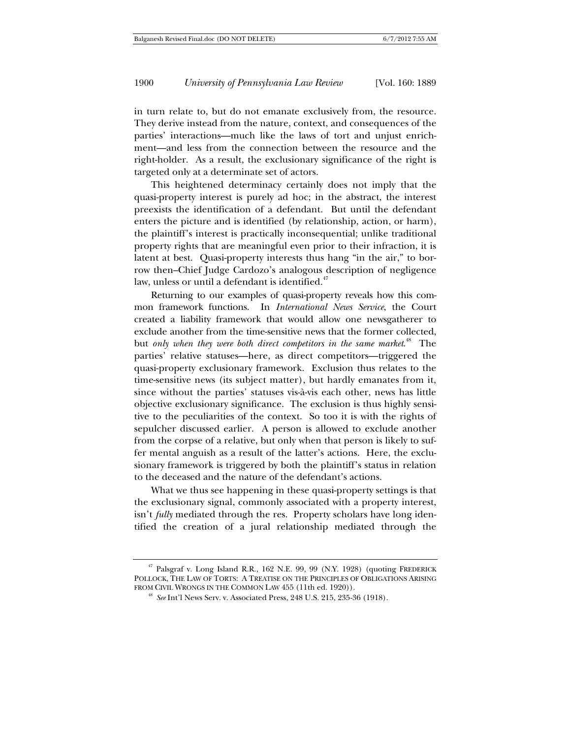in turn relate to, but do not emanate exclusively from, the resource. They derive instead from the nature, context, and consequences of the parties' interactions—much like the laws of tort and unjust enrichment—and less from the connection between the resource and the right-holder. As a result, the exclusionary significance of the right is targeted only at a determinate set of actors.

This heightened determinacy certainly does not imply that the quasi-property interest is purely ad hoc; in the abstract, the interest preexists the identification of a defendant. But until the defendant enters the picture and is identified (by relationship, action, or harm), the plaintiff's interest is practically inconsequential; unlike traditional property rights that are meaningful even prior to their infraction, it is latent at best. Quasi-property interests thus hang "in the air," to borrow then–Chief Judge Cardozo's analogous description of negligence law, unless or until a defendant is identified. $47$ 

Returning to our examples of quasi-property reveals how this common framework functions. In *International News Service*, the Court created a liability framework that would allow one newsgatherer to exclude another from the time-sensitive news that the former collected, but *only when they were both direct competitors in the same market*. 48 The parties' relative statuses—here, as direct competitors—triggered the quasi-property exclusionary framework. Exclusion thus relates to the time-sensitive news (its subject matter), but hardly emanates from it, since without the parties' statuses vis-à-vis each other, news has little objective exclusionary significance. The exclusion is thus highly sensitive to the peculiarities of the context. So too it is with the rights of sepulcher discussed earlier. A person is allowed to exclude another from the corpse of a relative, but only when that person is likely to suffer mental anguish as a result of the latter's actions. Here, the exclusionary framework is triggered by both the plaintiff's status in relation to the deceased and the nature of the defendant's actions.

What we thus see happening in these quasi-property settings is that the exclusionary signal, commonly associated with a property interest, isn't *fully* mediated through the res. Property scholars have long identified the creation of a jural relationship mediated through the

<sup>&</sup>lt;sup>47</sup> Palsgraf v. Long Island R.R., 162 N.E. 99, 99 (N.Y. 1928) (quoting FREDERICK POLLOCK, THE LAW OF TORTS: A TREATISE ON THE PRINCIPLES OF OBLIGATIONS ARISING<br>FROM CIVIL WRONGS IN THE COMMON LAW 455 (11th ed. 1920)).

<sup>&</sup>lt;sup>48</sup> See Int'l News Serv. v. Associated Press, 248 U.S. 215, 235-36 (1918).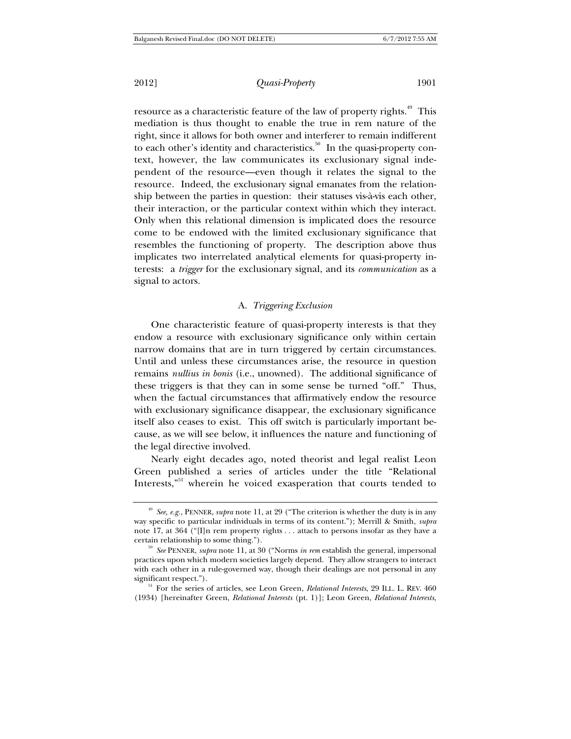2012] *Quasi-Property* 1901

resource as a characteristic feature of the law of property rights.<sup>49</sup> This mediation is thus thought to enable the true in rem nature of the right, since it allows for both owner and interferer to remain indifferent to each other's identity and characteristics. $50$  In the quasi-property context, however, the law communicates its exclusionary signal independent of the resource—even though it relates the signal to the resource. Indeed, the exclusionary signal emanates from the relationship between the parties in question: their statuses vis-à-vis each other, their interaction, or the particular context within which they interact. Only when this relational dimension is implicated does the resource come to be endowed with the limited exclusionary significance that resembles the functioning of property. The description above thus implicates two interrelated analytical elements for quasi-property interests: a *trigger* for the exclusionary signal, and its *communication* as a signal to actors.

#### A. *Triggering Exclusion*

One characteristic feature of quasi-property interests is that they endow a resource with exclusionary significance only within certain narrow domains that are in turn triggered by certain circumstances. Until and unless these circumstances arise, the resource in question remains *nullius in bonis* (i.e., unowned). The additional significance of these triggers is that they can in some sense be turned "off." Thus, when the factual circumstances that affirmatively endow the resource with exclusionary significance disappear, the exclusionary significance itself also ceases to exist. This off switch is particularly important because, as we will see below, it influences the nature and functioning of the legal directive involved.

Nearly eight decades ago, noted theorist and legal realist Leon Green published a series of articles under the title "Relational Interests,"51 wherein he voiced exasperation that courts tended to

<sup>49</sup> *See, e.g.*, PENNER, *supra* note 11, at 29 ("The criterion is whether the duty is in any way specific to particular individuals in terms of its content."); Merrill & Smith, *supra* note 17, at 364 ("[I]n rem property rights . . . attach to persons insofar as they have a certain relationship to some thing.").

<sup>&</sup>lt;sup>50</sup> See PENNER, *supra* note 11, at 30 ("Norms *in rem* establish the general, impersonal practices upon which modern societies largely depend. They allow strangers to interact with each other in a rule-governed way, though their dealings are not personal in any significant respect."). 51 For the series of articles, see Leon Green, *Relational Interests*, 29 ILL. L. REV. <sup>460</sup>

<sup>(1934) [</sup>hereinafter Green, *Relational Interests* (pt. 1)]; Leon Green, *Relational Interests*,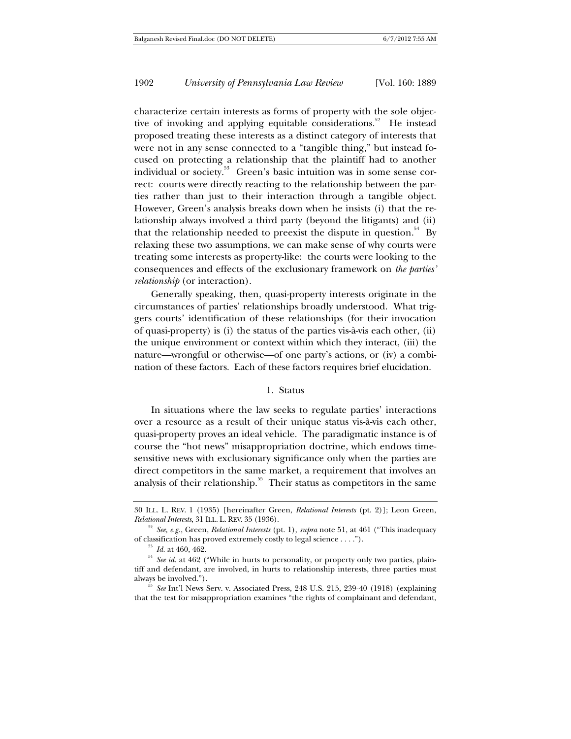characterize certain interests as forms of property with the sole objective of invoking and applying equitable considerations.<sup>52</sup> He instead proposed treating these interests as a distinct category of interests that were not in any sense connected to a "tangible thing," but instead focused on protecting a relationship that the plaintiff had to another individual or society.53 Green's basic intuition was in some sense correct: courts were directly reacting to the relationship between the parties rather than just to their interaction through a tangible object. However, Green's analysis breaks down when he insists (i) that the relationship always involved a third party (beyond the litigants) and (ii) that the relationship needed to preexist the dispute in question.<sup>54</sup> By relaxing these two assumptions, we can make sense of why courts were treating some interests as property-like: the courts were looking to the consequences and effects of the exclusionary framework on *the parties' relationship* (or interaction).

Generally speaking, then, quasi-property interests originate in the circumstances of parties' relationships broadly understood. What triggers courts' identification of these relationships (for their invocation of quasi-property) is (i) the status of the parties vis-à-vis each other, (ii) the unique environment or context within which they interact, (iii) the nature—wrongful or otherwise—of one party's actions, or (iv) a combination of these factors. Each of these factors requires brief elucidation.

#### 1. Status

In situations where the law seeks to regulate parties' interactions over a resource as a result of their unique status vis-à-vis each other, quasi-property proves an ideal vehicle. The paradigmatic instance is of course the "hot news" misappropriation doctrine, which endows timesensitive news with exclusionary significance only when the parties are direct competitors in the same market, a requirement that involves an analysis of their relationship.<sup>55</sup> Their status as competitors in the same

<sup>30</sup> ILL. L. REV. 1 (1935) [hereinafter Green, *Relational Interests* (pt. 2)]; Leon Green,

<sup>&</sup>lt;sup>52</sup> *See, e.g.*, Green, *Relational Interests* (pt. 1), *supra* note 51, at 461 ("This inadequacy of classification has proved extremely costly to legal science ....").

<sup>&</sup>lt;sup>53</sup> *Id.* at 460, 462.<br><sup>54</sup> *See id.* at 462 ("While in hurts to personality, or property only two parties, plaintiff and defendant, are involved, in hurts to relationship interests, three parties must always be involved."). 55 *See* Int'l News Serv. v. Associated Press, 248 U.S. 215, 239-40 (1918) (explaining

that the test for misappropriation examines "the rights of complainant and defendant,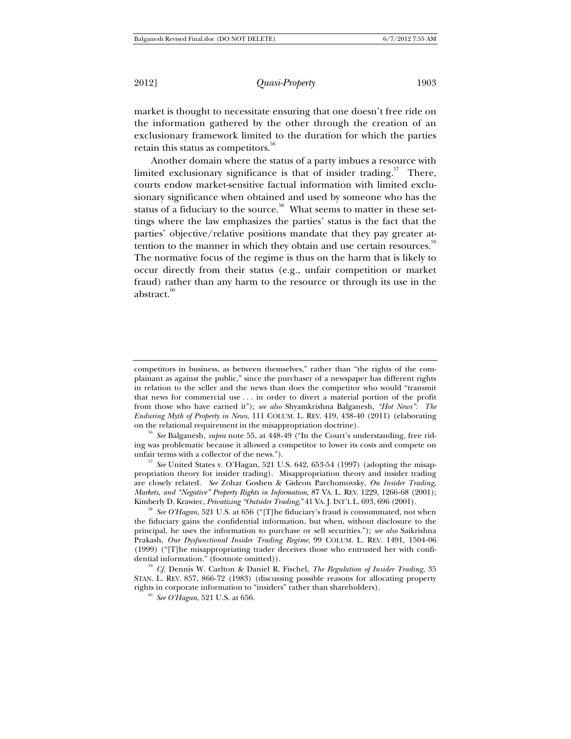market is thought to necessitate ensuring that one doesn't free ride on the information gathered by the other through the creation of an exclusionary framework limited to the duration for which the parties retain this status as competitors.<sup>56</sup>

Another domain where the status of a party imbues a resource with limited exclusionary significance is that of insider trading.<sup>57</sup> There, courts endow market-sensitive factual information with limited exclusionary significance when obtained and used by someone who has the status of a fiduciary to the source.<sup>58</sup> What seems to matter in these settings where the law emphasizes the parties' status is the fact that the parties' objective/relative positions mandate that they pay greater attention to the manner in which they obtain and use certain resources.<sup>59</sup> The normative focus of the regime is thus on the harm that is likely to occur directly from their status (e.g., unfair competition or market fraud) rather than any harm to the resource or through its use in the abstract. $60$ 

<sup>56</sup> *See* Balganesh, *supra* note 55, at 448-49 ("In the Court's understanding, free riding was problematic because it allowed a competitor to lower its costs and compete on

unfair terms with a collector of the news."). 57 *See* United States v. O'Hagan, 521 U.S. 642, 653-54 (1997) (adopting the misappropriation theory for insider trading). Misappropriation theory and insider trading are closely related. *See* Zohar Goshen & Gideon Parchomovsky, *On Insider Trading, Markets, and "Negative" Property Rights in Information*, 87 VA. L. REV. 1229, 1266-68 (2001); Kimberly D. Krawiec, *Privatizing "Outsider Trading*," 41 VA. J. INT'L L. 693, 696 (2001).<br><sup>58</sup> *See O'Hagan*, 521 U.S. at 656 ("[T]he fiduciary's fraud is consummated, not when

the fiduciary gains the confidential information, but when, without disclosure to the principal, he uses the information to purchase or sell securities."); *see also* Saikrishna Prakash, *Our Dysfunctional Insider Trading Regime*, 99 COLUM. L. REV. 1491, 1504-06 (1999) ("[T]he misappropriating trader deceives those who entrusted her with confidential information." (footnote omitted)). 59 *Cf.* Dennis W. Carlton & Daniel R. Fischel, *The Regulation of Insider Trading*, 35

STAN. L. REV. 857, 866-72 (1983) (discussing possible reasons for allocating property rights in corporate information to "insiders" rather than shareholders). 60 *See O'Hagan*, 521 U.S. at 656.

competitors in business, as between themselves," rather than "the rights of the complainant as against the public," since the purchaser of a newspaper has different rights in relation to the seller and the news than does the competitor who would "transmit that news for commercial use . . . in order to divert a material portion of the profit from those who have earned it"); *see also* Shyamkrishna Balganesh, *"Hot News": The Enduring Myth of Property in News*, 111 COLUM. L. REV. 419, 438-40 (2011) (elaborating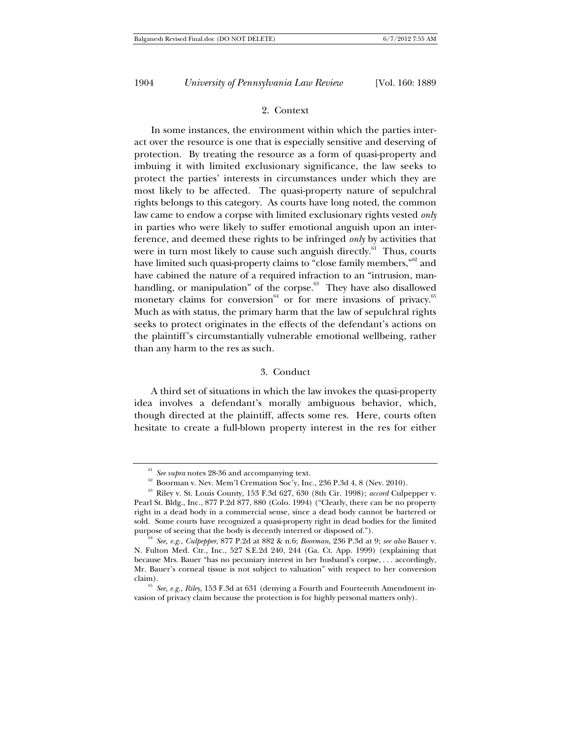## 2. Context

In some instances, the environment within which the parties interact over the resource is one that is especially sensitive and deserving of protection. By treating the resource as a form of quasi-property and imbuing it with limited exclusionary significance, the law seeks to protect the parties' interests in circumstances under which they are most likely to be affected. The quasi-property nature of sepulchral rights belongs to this category. As courts have long noted, the common law came to endow a corpse with limited exclusionary rights vested *only* in parties who were likely to suffer emotional anguish upon an interference, and deemed these rights to be infringed *only* by activities that were in turn most likely to cause such anguish directly.<sup>61</sup> Thus, courts have limited such quasi-property claims to "close family members,"<sup>62</sup> and have cabined the nature of a required infraction to an "intrusion, manhandling, or manipulation" of the corpse. $63$  They have also disallowed monetary claims for conversion $^{64}$  or for mere invasions of privacy. $^{65}$ Much as with status, the primary harm that the law of sepulchral rights seeks to protect originates in the effects of the defendant's actions on the plaintiff's circumstantially vulnerable emotional wellbeing, rather than any harm to the res as such.

#### 3. Conduct

A third set of situations in which the law invokes the quasi-property idea involves a defendant's morally ambiguous behavior, which, though directed at the plaintiff, affects some res. Here, courts often hesitate to create a full-blown property interest in the res for either

<sup>&</sup>lt;sup>61</sup> See supra notes 28-36 and accompanying text.<br><sup>62</sup> Boorman v. Nev. Mem'l Cremation Soc'y, Inc., 236 P.3d 4, 8 (Nev. 2010).<br><sup>63</sup> Riley v. St. Louis County, 153 F.3d 627, 630 (8th Cir. 1998); *accord* Culpepper v. Pearl St. Bldg., Inc., 877 P.2d 877, 880 (Colo. 1994) ("Clearly, there can be no property right in a dead body in a commercial sense, since a dead body cannot be bartered or sold. Some courts have recognized a quasi-property right in dead bodies for the limited purpose of seeing that the body is decently interred or disposed of."). 64 *See, e.g.*, *Culpepper*, 877 P.2d at 882 & n.6; *Boorman*, 236 P.3d at 9; *see also* Bauer v.

N. Fulton Med. Ctr., Inc., 527 S.E.2d 240, 244 (Ga. Ct. App. 1999) (explaining that because Mrs. Bauer "has no pecuniary interest in her husband's corpse, . . . accordingly, Mr. Bauer's corneal tissue is not subject to valuation" with respect to her conversion claim). 65 *See, e.g.*, *Riley*, 153 F.3d at 631 (denying a Fourth and Fourteenth Amendment in-

vasion of privacy claim because the protection is for highly personal matters only).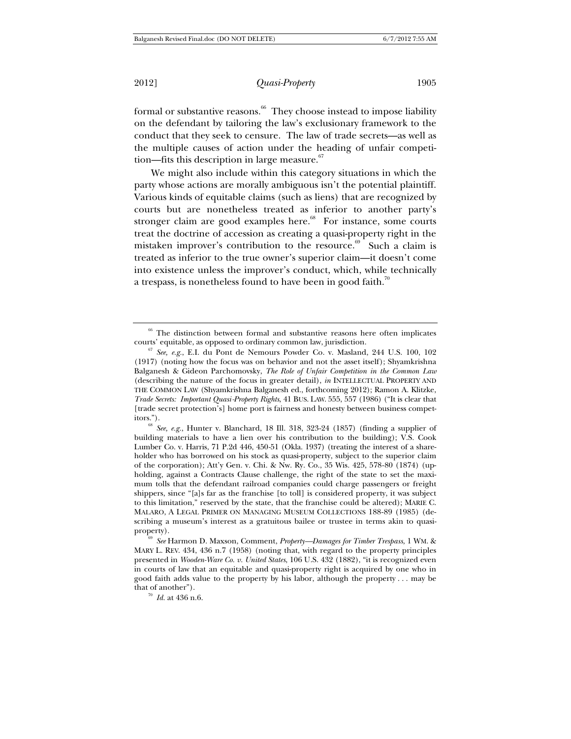formal or substantive reasons. $66$  They choose instead to impose liability on the defendant by tailoring the law's exclusionary framework to the conduct that they seek to censure. The law of trade secrets—as well as the multiple causes of action under the heading of unfair competition—fits this description in large measure. $67$ 

We might also include within this category situations in which the party whose actions are morally ambiguous isn't the potential plaintiff. Various kinds of equitable claims (such as liens) that are recognized by courts but are nonetheless treated as inferior to another party's stronger claim are good examples here.<sup>68</sup> For instance, some courts treat the doctrine of accession as creating a quasi-property right in the mistaken improver's contribution to the resource.<sup>69</sup> Such a claim is treated as inferior to the true owner's superior claim—it doesn't come into existence unless the improver's conduct, which, while technically a trespass, is nonetheless found to have been in good faith.<sup>70</sup>

 $66$  The distinction between formal and substantive reasons here often implicates courts' equitable, as opposed to ordinary common law, jurisdiction.

<sup>&</sup>lt;sup>67</sup> See, e.g., E.I. du Pont de Nemours Powder Co. v. Masland, 244 U.S. 100, 102 (1917) (noting how the focus was on behavior and not the asset itself); Shyamkrishna Balganesh & Gideon Parchomovsky, *The Role of Unfair Competition in the Common Law* (describing the nature of the focus in greater detail), *in* INTELLECTUAL PROPERTY AND THE COMMON LAW (Shyamkrishna Balganesh ed., forthcoming 2012); Ramon A. Klitzke, *Trade Secrets: Important Quasi-Property Rights*, 41 BUS. LAW. 555, 557 (1986) ("It is clear that [trade secret protection's] home port is fairness and honesty between business competitors."). 68 *See, e.g.*, Hunter v. Blanchard, 18 Ill. 318, 323-24 (1857) (finding a supplier of

building materials to have a lien over his contribution to the building); V.S. Cook Lumber Co. v. Harris, 71 P.2d 446, 450-51 (Okla. 1937) (treating the interest of a shareholder who has borrowed on his stock as quasi-property, subject to the superior claim of the corporation); Att'y Gen. v. Chi. & Nw. Ry. Co., 35 Wis. 425, 578-80 (1874) (upholding, against a Contracts Clause challenge, the right of the state to set the maximum tolls that the defendant railroad companies could charge passengers or freight shippers, since "[a]s far as the franchise [to toll] is considered property, it was subject to this limitation," reserved by the state, that the franchise could be altered); MARIE C. MALARO, A LEGAL PRIMER ON MANAGING MUSEUM COLLECTIONS 188-89 (1985) (describing a museum's interest as a gratuitous bailee or trustee in terms akin to quasi-

property). 69 *See* Harmon D. Maxson, Comment, *Property—Damages for Timber Trespass*, 1 WM. & MARY L. REV. 434, 436 n.7 (1958) (noting that, with regard to the property principles presented in *Wooden-Ware Co. v. United States*, 106 U.S. 432 (1882), "it is recognized even in courts of law that an equitable and quasi-property right is acquired by one who in good faith adds value to the property by his labor, although the property . . . may be that of another").<br> $\frac{70}{I}$  *Id.* at 436 n.6.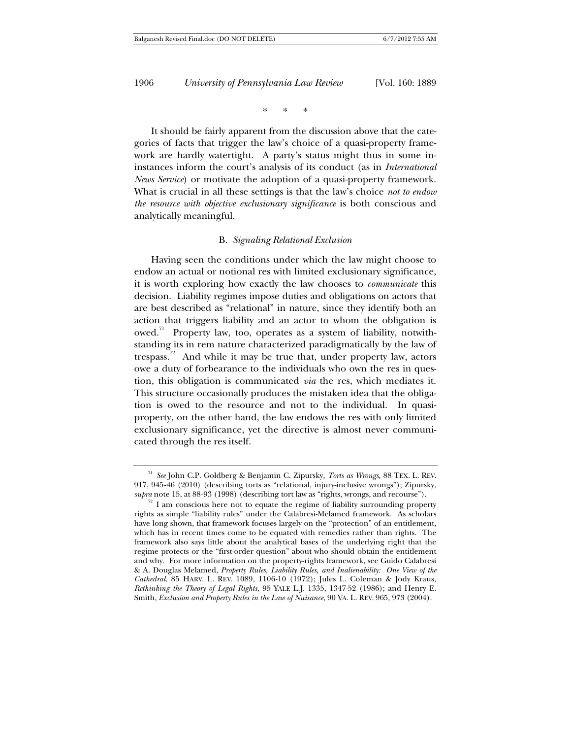\* \* \*

It should be fairly apparent from the discussion above that the categories of facts that trigger the law's choice of a quasi-property framework are hardly watertight. A party's status might thus in some ininstances inform the court's analysis of its conduct (as in *International News Service*) or motivate the adoption of a quasi-property framework. What is crucial in all these settings is that the law's choice *not to endow the resource with objective exclusionary significance* is both conscious and analytically meaningful.

#### B. *Signaling Relational Exclusion*

Having seen the conditions under which the law might choose to endow an actual or notional res with limited exclusionary significance, it is worth exploring how exactly the law chooses to *communicate* this decision. Liability regimes impose duties and obligations on actors that are best described as "relational" in nature, since they identify both an action that triggers liability and an actor to whom the obligation is owed.<sup>71</sup> Property law, too, operates as a system of liability, notwithstanding its in rem nature characterized paradigmatically by the law of trespass.<sup>72</sup> And while it may be true that, under property law, actors owe a duty of forbearance to the individuals who own the res in question, this obligation is communicated *via* the res, which mediates it. This structure occasionally produces the mistaken idea that the obligation is owed to the resource and not to the individual. In quasiproperty, on the other hand, the law endows the res with only limited exclusionary significance, yet the directive is almost never communicated through the res itself.

<sup>71</sup> *See* John C.P. Goldberg & Benjamin C. Zipursky, *Torts as Wrongs*, 88 TEX. L. REV. 917, 945-46 (2010) (describing torts as "relational, injury-inclusive wrongs"); Zipursky, *supra* note 15, at 88-93 (1998) (describing tort law as "rights, wrongs, and recourse").

 $\frac{72}{12}$  I am conscious here not to equate the regime of liability surrounding property rights as simple "liability rules" under the Calabresi-Melamed framework. As scholars have long shown, that framework focuses largely on the "protection" of an entitlement, which has in recent times come to be equated with remedies rather than rights. The framework also says little about the analytical bases of the underlying right that the regime protects or the "first-order question" about who should obtain the entitlement and why. For more information on the property-rights framework, see Guido Calabresi & A. Douglas Melamed, *Property Rules, Liability Rules, and Inalienability: One View of the Cathedral*, 85 HARV. L. REV. 1089, 1106-10 (1972); Jules L. Coleman & Jody Kraus, *Rethinking the Theory of Legal Rights*, 95 YALE L.J. 1335, 1347-52 (1986); and Henry E. Smith, *Exclusion and Property Rules in the Law of Nuisance*, 90 VA. L. REV. 965, 973 (2004).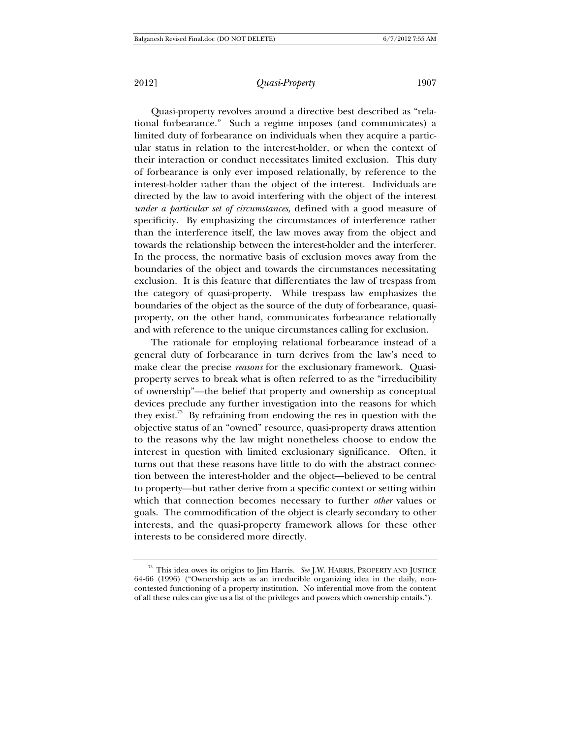Quasi-property revolves around a directive best described as "relational forbearance." Such a regime imposes (and communicates) a limited duty of forbearance on individuals when they acquire a particular status in relation to the interest-holder, or when the context of their interaction or conduct necessitates limited exclusion. This duty of forbearance is only ever imposed relationally, by reference to the interest-holder rather than the object of the interest. Individuals are directed by the law to avoid interfering with the object of the interest *under a particular set of circumstances*, defined with a good measure of specificity. By emphasizing the circumstances of interference rather than the interference itself, the law moves away from the object and towards the relationship between the interest-holder and the interferer. In the process, the normative basis of exclusion moves away from the boundaries of the object and towards the circumstances necessitating exclusion. It is this feature that differentiates the law of trespass from the category of quasi-property. While trespass law emphasizes the boundaries of the object as the source of the duty of forbearance, quasiproperty, on the other hand, communicates forbearance relationally and with reference to the unique circumstances calling for exclusion.

The rationale for employing relational forbearance instead of a general duty of forbearance in turn derives from the law's need to make clear the precise *reasons* for the exclusionary framework. Quasiproperty serves to break what is often referred to as the "irreducibility of ownership"—the belief that property and ownership as conceptual devices preclude any further investigation into the reasons for which they exist.<sup>73</sup> By refraining from endowing the res in question with the objective status of an "owned" resource, quasi-property draws attention to the reasons why the law might nonetheless choose to endow the interest in question with limited exclusionary significance. Often, it turns out that these reasons have little to do with the abstract connection between the interest-holder and the object—believed to be central to property—but rather derive from a specific context or setting within which that connection becomes necessary to further *other* values or goals. The commodification of the object is clearly secondary to other interests, and the quasi-property framework allows for these other interests to be considered more directly.

<sup>73</sup> This idea owes its origins to Jim Harris. *See* J.W. HARRIS, PROPERTY AND JUSTICE 64-66 (1996) ("Ownership acts as an irreducible organizing idea in the daily, noncontested functioning of a property institution. No inferential move from the content of all these rules can give us a list of the privileges and powers which ownership entails.").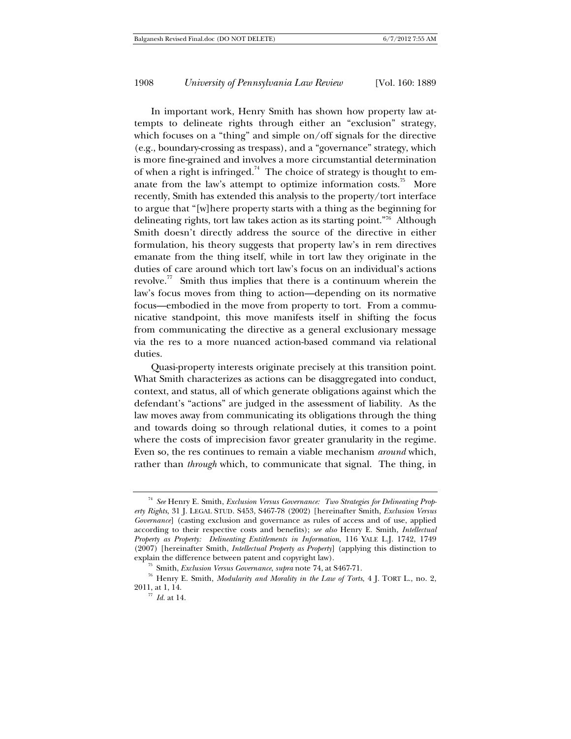In important work, Henry Smith has shown how property law attempts to delineate rights through either an "exclusion" strategy, which focuses on a "thing" and simple on/off signals for the directive (e.g., boundary-crossing as trespass), and a "governance" strategy, which is more fine-grained and involves a more circumstantial determination of when a right is infringed.<sup>74</sup> The choice of strategy is thought to emanate from the law's attempt to optimize information costs.<sup>75</sup> More recently, Smith has extended this analysis to the property/tort interface to argue that "[w]here property starts with a thing as the beginning for delineating rights, tort law takes action as its starting point."76 Although Smith doesn't directly address the source of the directive in either formulation, his theory suggests that property law's in rem directives emanate from the thing itself, while in tort law they originate in the duties of care around which tort law's focus on an individual's actions revolve.<sup>77</sup> Smith thus implies that there is a continuum wherein the law's focus moves from thing to action—depending on its normative focus—embodied in the move from property to tort. From a communicative standpoint, this move manifests itself in shifting the focus from communicating the directive as a general exclusionary message via the res to a more nuanced action-based command via relational duties.

Quasi-property interests originate precisely at this transition point. What Smith characterizes as actions can be disaggregated into conduct, context, and status, all of which generate obligations against which the defendant's "actions" are judged in the assessment of liability. As the law moves away from communicating its obligations through the thing and towards doing so through relational duties, it comes to a point where the costs of imprecision favor greater granularity in the regime. Even so, the res continues to remain a viable mechanism *around* which, rather than *through* which, to communicate that signal. The thing, in

<sup>74</sup> *See* Henry E. Smith, *Exclusion Versus Governance: Two Strategies for Delineating Property Rights*, 31 J. LEGAL STUD. S453, S467-78 (2002) [hereinafter Smith, *Exclusion Versus Governance*] (casting exclusion and governance as rules of access and of use, applied according to their respective costs and benefits); *see also* Henry E. Smith, *Intellectual Property as Property: Delineating Entitlements in Information*, 116 YALE L.J. 1742, 1749 (2007) [hereinafter Smith, *Intellectual Property as Property*] (applying this distinction to

<sup>&</sup>lt;sup>75</sup> Smith, *Exclusion Versus Governance*, *supra* note 74, at S467-71.<br><sup>76</sup> Henry E. Smith, *Modularity and Morality in the Law of Torts*, 4 J. TORT L., no. 2, 2011, at 1, 14.

 $\frac{77}{10}$  *Id.* at 14.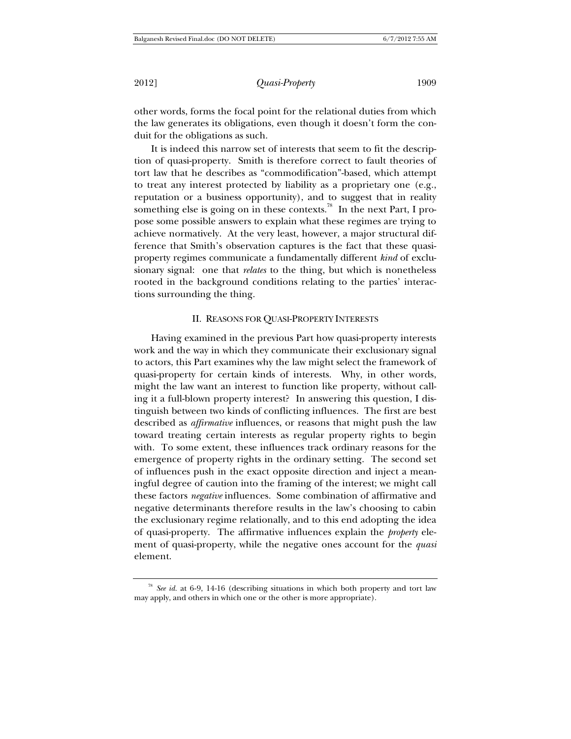other words, forms the focal point for the relational duties from which the law generates its obligations, even though it doesn't form the conduit for the obligations as such.

It is indeed this narrow set of interests that seem to fit the description of quasi-property. Smith is therefore correct to fault theories of tort law that he describes as "commodification"-based, which attempt to treat any interest protected by liability as a proprietary one (e.g., reputation or a business opportunity), and to suggest that in reality something else is going on in these contexts.<sup>78</sup> In the next Part, I propose some possible answers to explain what these regimes are trying to achieve normatively. At the very least, however, a major structural difference that Smith's observation captures is the fact that these quasiproperty regimes communicate a fundamentally different *kind* of exclusionary signal: one that *relates* to the thing, but which is nonetheless rooted in the background conditions relating to the parties' interactions surrounding the thing.

#### II. REASONS FOR QUASI-PROPERTY INTERESTS

Having examined in the previous Part how quasi-property interests work and the way in which they communicate their exclusionary signal to actors, this Part examines why the law might select the framework of quasi-property for certain kinds of interests. Why, in other words, might the law want an interest to function like property, without calling it a full-blown property interest? In answering this question, I distinguish between two kinds of conflicting influences. The first are best described as *affirmative* influences, or reasons that might push the law toward treating certain interests as regular property rights to begin with. To some extent, these influences track ordinary reasons for the emergence of property rights in the ordinary setting. The second set of influences push in the exact opposite direction and inject a meaningful degree of caution into the framing of the interest; we might call these factors *negative* influences. Some combination of affirmative and negative determinants therefore results in the law's choosing to cabin the exclusionary regime relationally, and to this end adopting the idea of quasi-property. The affirmative influences explain the *property* element of quasi-property, while the negative ones account for the *quasi* element.

<sup>78</sup> *See id.* at 6-9, 14-16 (describing situations in which both property and tort law may apply, and others in which one or the other is more appropriate).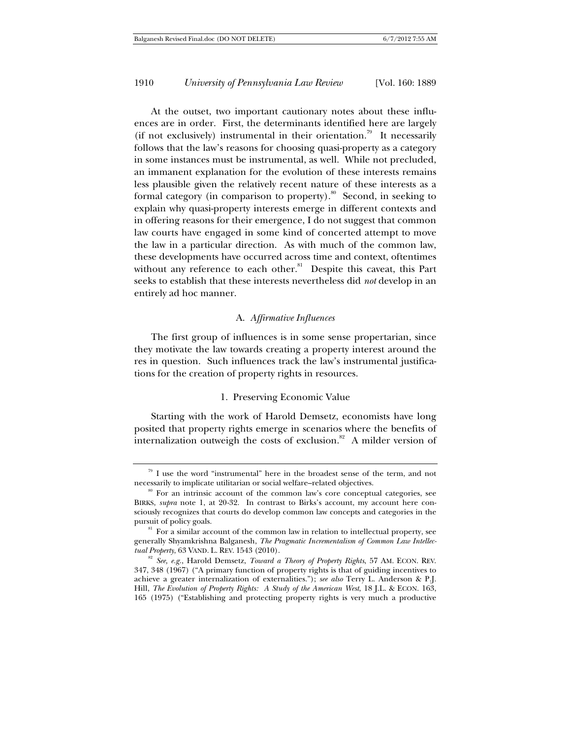At the outset, two important cautionary notes about these influences are in order. First, the determinants identified here are largely (if not exclusively) instrumental in their orientation.<sup>79</sup> It necessarily follows that the law's reasons for choosing quasi-property as a category in some instances must be instrumental, as well. While not precluded, an immanent explanation for the evolution of these interests remains less plausible given the relatively recent nature of these interests as a formal category (in comparison to property).<sup>80</sup> Second, in seeking to explain why quasi-property interests emerge in different contexts and in offering reasons for their emergence, I do not suggest that common law courts have engaged in some kind of concerted attempt to move the law in a particular direction. As with much of the common law, these developments have occurred across time and context, oftentimes without any reference to each other.<sup>81</sup> Despite this caveat, this Part seeks to establish that these interests nevertheless did *not* develop in an entirely ad hoc manner.

#### A. *Affirmative Influences*

The first group of influences is in some sense propertarian, since they motivate the law towards creating a property interest around the res in question. Such influences track the law's instrumental justifications for the creation of property rights in resources.

#### 1. Preserving Economic Value

Starting with the work of Harold Demsetz, economists have long posited that property rights emerge in scenarios where the benefits of internalization outweigh the costs of exclusion.<sup>82</sup> A milder version of

 $79$  I use the word "instrumental" here in the broadest sense of the term, and not necessarily to implicate utilitarian or social welfare–related objectives.<br><sup>80</sup> For an intrinsic account of the common law's core conceptual categories, see

BIRKS, *supra* note 1, at 20-32. In contrast to Birks's account, my account here consciously recognizes that courts do develop common law concepts and categories in the pursuit of policy goals.<br><sup>81</sup> For a similar account of the common law in relation to intellectual property, see

generally Shyamkrishna Balganesh, *The Pragmatic Incrementalism of Common Law Intellec-*

<sup>&</sup>lt;sup>82</sup> See, e.g., Harold Demsetz, *Toward a Theory of Property Rights*, 57 AM. ECON. REV. 347, 348 (1967) ("A primary function of property rights is that of guiding incentives to achieve a greater internalization of externalities."); *see also* Terry L. Anderson & P.J. Hill, *The Evolution of Property Rights: A Study of the American West*, 18 J.L. & ECON. 163, 165 (1975) ("Establishing and protecting property rights is very much a productive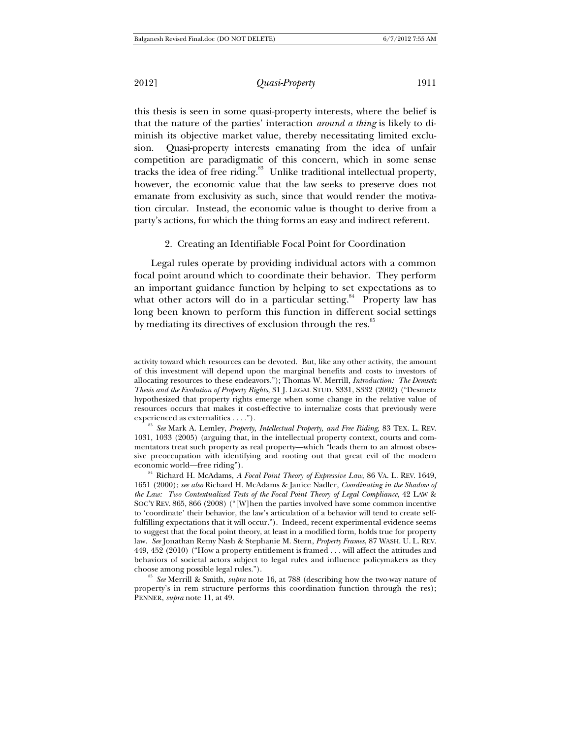2012] *Quasi-Property* 1911

this thesis is seen in some quasi-property interests, where the belief is that the nature of the parties' interaction *around a thing* is likely to diminish its objective market value, thereby necessitating limited exclusion. Quasi-property interests emanating from the idea of unfair competition are paradigmatic of this concern, which in some sense tracks the idea of free riding.<sup>83</sup> Unlike traditional intellectual property, however, the economic value that the law seeks to preserve does not emanate from exclusivity as such, since that would render the motivation circular. Instead, the economic value is thought to derive from a party's actions, for which the thing forms an easy and indirect referent.

#### 2. Creating an Identifiable Focal Point for Coordination

Legal rules operate by providing individual actors with a common focal point around which to coordinate their behavior. They perform an important guidance function by helping to set expectations as to what other actors will do in a particular setting.<sup>84</sup> Property law has long been known to perform this function in different social settings by mediating its directives of exclusion through the res.<sup>85</sup>

property's in rem structure performs this coordination function through the res); PENNER, *supra* note 11, at 49.

activity toward which resources can be devoted. But, like any other activity, the amount of this investment will depend upon the marginal benefits and costs to investors of allocating resources to these endeavors."); Thomas W. Merrill, *Introduction: The Demsetz Thesis and the Evolution of Property Rights*, 31 J. LEGAL STUD. S331, S332 (2002) ("Desmetz hypothesized that property rights emerge when some change in the relative value of resources occurs that makes it cost-effective to internalize costs that previously were

experienced as externalities . . . ."). 83 *See* Mark A. Lemley, *Property, Intellectual Property, and Free Riding*, 83 TEX. L. REV. 1031, 1033 (2005) (arguing that, in the intellectual property context, courts and commentators treat such property as real property—which "leads them to an almost obsessive preoccupation with identifying and rooting out that great evil of the modern

economic world—free riding"). 84 Richard H. McAdams, *A Focal Point Theory of Expressive Law*, 86 VA. L. REV. 1649, 1651 (2000); *see also* Richard H. McAdams & Janice Nadler, *Coordinating in the Shadow of the Law: Two Contextualized Tests of the Focal Point Theory of Legal Compliance*, 42 LAW & SOC'Y REV. 865, 866 (2008) ("[W]hen the parties involved have some common incentive to 'coordinate' their behavior, the law's articulation of a behavior will tend to create selffulfilling expectations that it will occur."). Indeed, recent experimental evidence seems to suggest that the focal point theory, at least in a modified form, holds true for property law. *See* Jonathan Remy Nash & Stephanie M. Stern, *Property Frames*, 87 WASH. U. L. REV. 449, 452 (2010) ("How a property entitlement is framed . . . will affect the attitudes and behaviors of societal actors subject to legal rules and influence policymakers as they choose among possible legal rules."). 85 *See* Merrill & Smith, *supra* note 16, at 788 (describing how the two-way nature of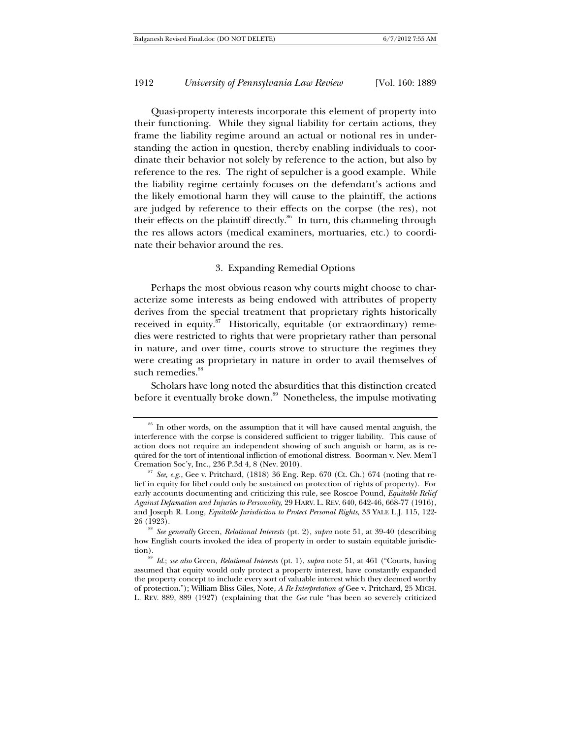Quasi-property interests incorporate this element of property into their functioning. While they signal liability for certain actions, they frame the liability regime around an actual or notional res in understanding the action in question, thereby enabling individuals to coordinate their behavior not solely by reference to the action, but also by reference to the res. The right of sepulcher is a good example. While the liability regime certainly focuses on the defendant's actions and the likely emotional harm they will cause to the plaintiff, the actions are judged by reference to their effects on the corpse (the res), not their effects on the plaintiff directly.<sup>86</sup> In turn, this channeling through the res allows actors (medical examiners, mortuaries, etc.) to coordinate their behavior around the res.

#### 3. Expanding Remedial Options

Perhaps the most obvious reason why courts might choose to characterize some interests as being endowed with attributes of property derives from the special treatment that proprietary rights historically received in equity. $87$  Historically, equitable (or extraordinary) remedies were restricted to rights that were proprietary rather than personal in nature, and over time, courts strove to structure the regimes they were creating as proprietary in nature in order to avail themselves of such remedies.<sup>88</sup>

Scholars have long noted the absurdities that this distinction created before it eventually broke down.<sup>89</sup> Nonetheless, the impulse motivating

26 (1923). 88 *See generally* Green, *Relational Interests* (pt. 2), *supra* note 51, at 39-40 (describing how English courts invoked the idea of property in order to sustain equitable jurisdiction). 89 *Id.*; *see also* Green, *Relational Interests* (pt. 1), *supra* note 51, at 461 ("Courts, having

<sup>&</sup>lt;sup>86</sup> In other words, on the assumption that it will have caused mental anguish, the interference with the corpse is considered sufficient to trigger liability. This cause of action does not require an independent showing of such anguish or harm, as is required for the tort of intentional infliction of emotional distress. Boorman v. Nev. Mem'l Cremation Soc'y, Inc., 236 P.3d 4, 8 (Nev. 2010).

 $^{87}$  See, e.g., Gee v. Pritchard, (1818) 36 Eng. Rep. 670 (Ct. Ch.) 674 (noting that relief in equity for libel could only be sustained on protection of rights of property). For early accounts documenting and criticizing this rule, see Roscoe Pound, *Equitable Relief Against Defamation and Injuries to Personality*, 29 HARV. L. REV. 640, 642-46, 668-77 (1916), and Joseph R. Long, *Equitable Jurisdiction to Protect Personal Rights*, 33 YALE L.J. 115, 122-

assumed that equity would only protect a property interest, have constantly expanded the property concept to include every sort of valuable interest which they deemed worthy of protection."); William Bliss Giles, Note, *A Re-Interpretation of* Gee v. Pritchard, 25 MICH. L. REV. 889, 889 (1927) (explaining that the *Gee* rule "has been so severely criticized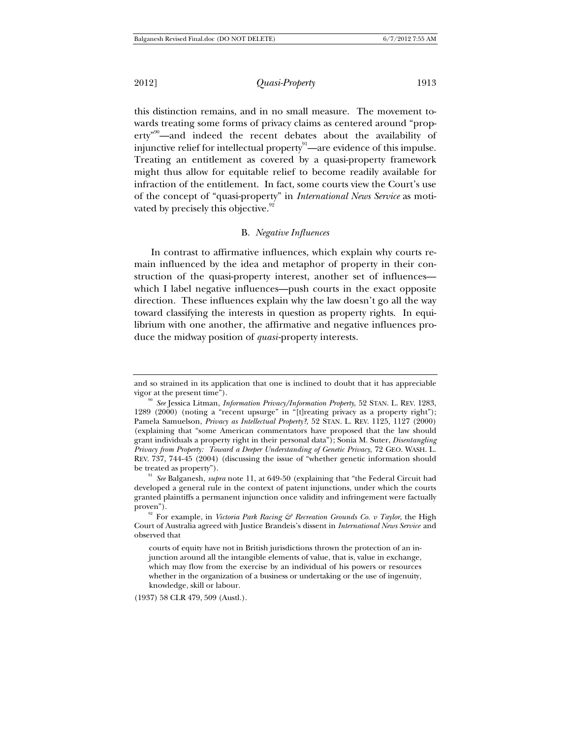2012] *Quasi-Property* 1913

this distinction remains, and in no small measure. The movement towards treating some forms of privacy claims as centered around "property<sup>"90</sup>—and indeed the recent debates about the availability of injunctive relief for intellectual property $\overset{91}{-}$ are evidence of this impulse. Treating an entitlement as covered by a quasi-property framework might thus allow for equitable relief to become readily available for infraction of the entitlement. In fact, some courts view the Court's use of the concept of "quasi-property" in *International News Service* as motivated by precisely this objective.<sup>92</sup>

#### B. *Negative Influences*

In contrast to affirmative influences, which explain why courts remain influenced by the idea and metaphor of property in their construction of the quasi-property interest, another set of influences which I label negative influences—push courts in the exact opposite direction. These influences explain why the law doesn't go all the way toward classifying the interests in question as property rights. In equilibrium with one another, the affirmative and negative influences produce the midway position of *quasi*-property interests.

(1937) 58 CLR 479, 509 (Austl.).

and so strained in its application that one is inclined to doubt that it has appreciable vigor at the present time"). 90 *See* Jessica Litman, *Information Privacy/Information Property*, 52 STAN. L. REV. 1283,

<sup>1289 (2000) (</sup>noting a "recent upsurge" in "[t]reating privacy as a property right"); Pamela Samuelson, *Privacy as Intellectual Property?*, 52 STAN. L. REV. 1125, 1127 (2000) (explaining that "some American commentators have proposed that the law should grant individuals a property right in their personal data"); Sonia M. Suter, *Disentangling Privacy from Property: Toward a Deeper Understanding of Genetic Privacy*, 72 GEO. WASH. L. REV. 737, 744-45 (2004) (discussing the issue of "whether genetic information should be treated as property"). 91 *See* Balganesh, *supra* note 11, at 649-50 (explaining that "the Federal Circuit had

developed a general rule in the context of patent injunctions, under which the courts granted plaintiffs a permanent injunction once validity and infringement were factually proven").<br><sup>92</sup> For example, in *Victoria Park Racing & Recreation Grounds Co. v Taylor*, the High

Court of Australia agreed with Justice Brandeis's dissent in *International News Service* and observed that

courts of equity have not in British jurisdictions thrown the protection of an injunction around all the intangible elements of value, that is, value in exchange, which may flow from the exercise by an individual of his powers or resources whether in the organization of a business or undertaking or the use of ingenuity, knowledge, skill or labour.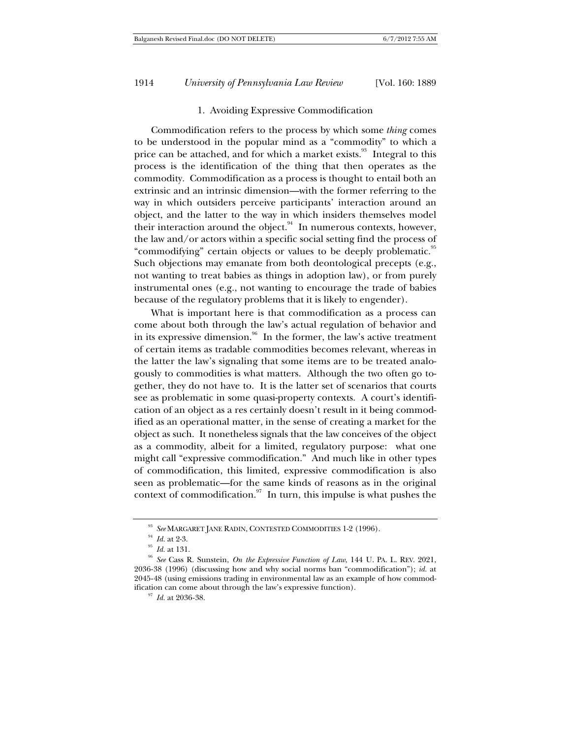#### 1. Avoiding Expressive Commodification

Commodification refers to the process by which some *thing* comes to be understood in the popular mind as a "commodity" to which a price can be attached, and for which a market exists. $93$  Integral to this process is the identification of the thing that then operates as the commodity. Commodification as a process is thought to entail both an extrinsic and an intrinsic dimension—with the former referring to the way in which outsiders perceive participants' interaction around an object, and the latter to the way in which insiders themselves model their interaction around the object.<sup>94</sup> In numerous contexts, however, the law and/or actors within a specific social setting find the process of "commodifying" certain objects or values to be deeply problematic.<sup>95</sup> Such objections may emanate from both deontological precepts (e.g., not wanting to treat babies as things in adoption law), or from purely instrumental ones (e.g., not wanting to encourage the trade of babies because of the regulatory problems that it is likely to engender).

What is important here is that commodification as a process can come about both through the law's actual regulation of behavior and in its expressive dimension.<sup>96</sup> In the former, the law's active treatment of certain items as tradable commodities becomes relevant, whereas in the latter the law's signaling that some items are to be treated analogously to commodities is what matters. Although the two often go together, they do not have to. It is the latter set of scenarios that courts see as problematic in some quasi-property contexts. A court's identification of an object as a res certainly doesn't result in it being commodified as an operational matter, in the sense of creating a market for the object as such. It nonetheless signals that the law conceives of the object as a commodity, albeit for a limited, regulatory purpose: what one might call "expressive commodification." And much like in other types of commodification, this limited, expressive commodification is also seen as problematic—for the same kinds of reasons as in the original context of commodification. $\frac{97}{7}$  In turn, this impulse is what pushes the

<sup>&</sup>lt;sup>93</sup> *See* MARGARET JANE RADIN, CONTESTED COMMODITIES 1-2 (1996).<br><sup>94</sup> *Id.* at 2-3. *Id.* at 131. 96 *Id.* at 131. 96 *See* Cass R. Sunstein, *On the Expressive Function of Law*, 144 U. PA. L. REV. 2021, 2036-38 (1996) (discussing how and why social norms ban "commodification"); *id.* at 2045-48 (using emissions trading in environmental law as an example of how commodification can come about through the law's expressive function). 97 *Id.* at 2036-38.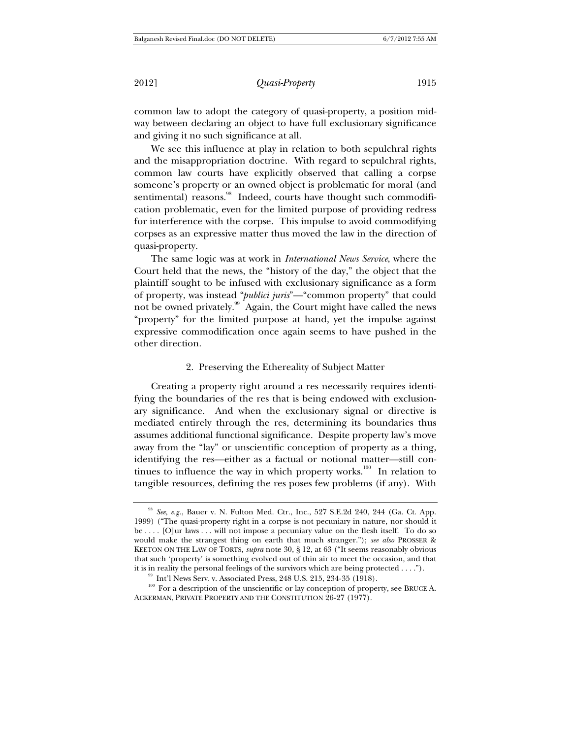2012] *Quasi-Property* 1915

common law to adopt the category of quasi-property, a position midway between declaring an object to have full exclusionary significance and giving it no such significance at all.

We see this influence at play in relation to both sepulchral rights and the misappropriation doctrine. With regard to sepulchral rights, common law courts have explicitly observed that calling a corpse someone's property or an owned object is problematic for moral (and sentimental) reasons.<sup>98</sup> Indeed, courts have thought such commodification problematic, even for the limited purpose of providing redress for interference with the corpse. This impulse to avoid commodifying corpses as an expressive matter thus moved the law in the direction of quasi-property.

The same logic was at work in *International News Service*, where the Court held that the news, the "history of the day," the object that the plaintiff sought to be infused with exclusionary significance as a form of property, was instead "*publici juris*"—"common property" that could not be owned privately.<sup>99</sup> Again, the Court might have called the news "property" for the limited purpose at hand, yet the impulse against expressive commodification once again seems to have pushed in the other direction.

#### 2. Preserving the Ethereality of Subject Matter

Creating a property right around a res necessarily requires identifying the boundaries of the res that is being endowed with exclusionary significance. And when the exclusionary signal or directive is mediated entirely through the res, determining its boundaries thus assumes additional functional significance. Despite property law's move away from the "lay" or unscientific conception of property as a thing, identifying the res—either as a factual or notional matter—still continues to influence the way in which property works.<sup>100</sup> In relation to tangible resources, defining the res poses few problems (if any). With

<sup>98</sup> *See, e.g.*, Bauer v. N. Fulton Med. Ctr., Inc., 527 S.E.2d 240, 244 (Ga. Ct. App. 1999) ("The quasi-property right in a corpse is not pecuniary in nature, nor should it be . . . . [O]ur laws . . . will not impose a pecuniary value on the flesh itself. To do so would make the strangest thing on earth that much stranger."); *see also* PROSSER & KEETON ON THE LAW OF TORTS, *supra* note 30, § 12, at 63 ("It seems reasonably obvious that such 'property' is something evolved out of thin air to meet the occasion, and that it is in reality the personal feelings of the survivors which are being protected  $\dots$ .

 $^{99}$  Int'l News Serv. v. Associated Press, 248 U.S. 215, 234-35 (1918).<br><sup>100</sup> For a description of the unscientific or lay conception of property, see BRUCE A. ACKERMAN, PRIVATE PROPERTY AND THE CONSTITUTION 26-27 (1977).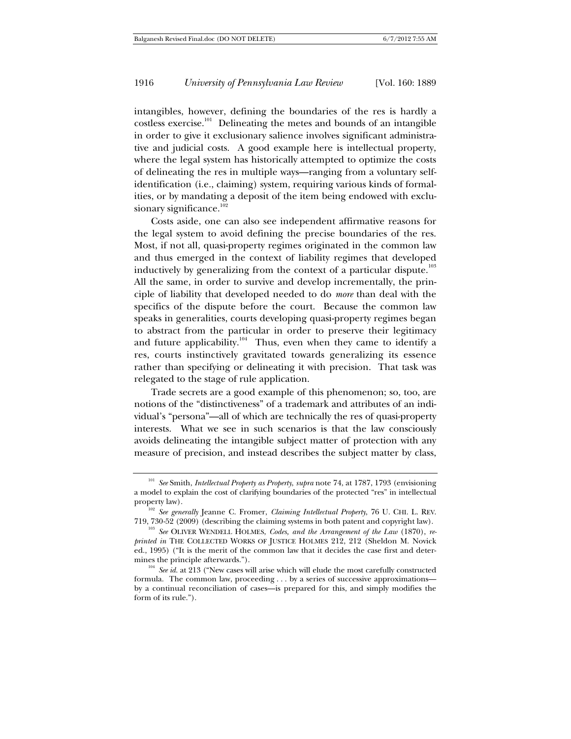intangibles, however, defining the boundaries of the res is hardly a costless exercise.<sup>101</sup> Delineating the metes and bounds of an intangible in order to give it exclusionary salience involves significant administrative and judicial costs. A good example here is intellectual property, where the legal system has historically attempted to optimize the costs of delineating the res in multiple ways—ranging from a voluntary selfidentification (i.e., claiming) system, requiring various kinds of formalities, or by mandating a deposit of the item being endowed with exclusionary significance. $102$ 

Costs aside, one can also see independent affirmative reasons for the legal system to avoid defining the precise boundaries of the res. Most, if not all, quasi-property regimes originated in the common law and thus emerged in the context of liability regimes that developed inductively by generalizing from the context of a particular dispute. $^{103}$ All the same, in order to survive and develop incrementally, the principle of liability that developed needed to do *more* than deal with the specifics of the dispute before the court. Because the common law speaks in generalities, courts developing quasi-property regimes began to abstract from the particular in order to preserve their legitimacy and future applicability.<sup>104</sup> Thus, even when they came to identify a res, courts instinctively gravitated towards generalizing its essence rather than specifying or delineating it with precision. That task was relegated to the stage of rule application.

Trade secrets are a good example of this phenomenon; so, too, are notions of the "distinctiveness" of a trademark and attributes of an individual's "persona"—all of which are technically the res of quasi-property interests. What we see in such scenarios is that the law consciously avoids delineating the intangible subject matter of protection with any measure of precision, and instead describes the subject matter by class,

<sup>101</sup> *See* Smith, *Intellectual Property as Property*, *supra* note 74, at 1787, 1793 (envisioning a model to explain the cost of clarifying boundaries of the protected "res" in intellectual

<sup>&</sup>lt;sup>102</sup> See generally Jeanne C. Fromer, *Claiming Intellectual Property*, 76 U. CHI. L. REV.

<sup>719, 730-52 (2009) (</sup>describing the claiming systems in both patent and copyright law). 103 *See* OLIVER WENDELL HOLMES, *Codes, and the Arrangement of the Law* (1870), *reprinted in* THE COLLECTED WORKS OF JUSTICE HOLMES 212, 212 (Sheldon M. Novick ed., 1995) ("It is the merit of the common law that it decides the case first and deter-

<sup>&</sup>lt;sup>104</sup> See id. at 213 ("New cases will arise which will elude the most carefully constructed formula. The common law, proceeding . . . by a series of successive approximations by a continual reconciliation of cases—is prepared for this, and simply modifies the form of its rule.").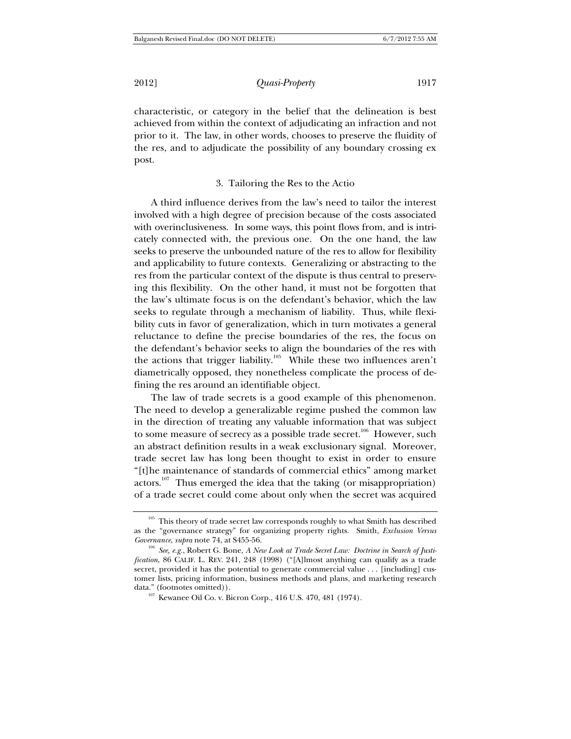characteristic, or category in the belief that the delineation is best achieved from within the context of adjudicating an infraction and not prior to it. The law, in other words, chooses to preserve the fluidity of the res, and to adjudicate the possibility of any boundary crossing ex post.

## 3. Tailoring the Res to the Actio

A third influence derives from the law's need to tailor the interest involved with a high degree of precision because of the costs associated with overinclusiveness. In some ways, this point flows from, and is intricately connected with, the previous one. On the one hand, the law seeks to preserve the unbounded nature of the res to allow for flexibility and applicability to future contexts. Generalizing or abstracting to the res from the particular context of the dispute is thus central to preserving this flexibility. On the other hand, it must not be forgotten that the law's ultimate focus is on the defendant's behavior, which the law seeks to regulate through a mechanism of liability. Thus, while flexibility cuts in favor of generalization, which in turn motivates a general reluctance to define the precise boundaries of the res, the focus on the defendant's behavior seeks to align the boundaries of the res with the actions that trigger liability.<sup>105</sup> While these two influences aren't diametrically opposed, they nonetheless complicate the process of defining the res around an identifiable object.

The law of trade secrets is a good example of this phenomenon. The need to develop a generalizable regime pushed the common law in the direction of treating any valuable information that was subject to some measure of secrecy as a possible trade secret.<sup>106</sup> However, such an abstract definition results in a weak exclusionary signal. Moreover, trade secret law has long been thought to exist in order to ensure "[t]he maintenance of standards of commercial ethics" among market actors.<sup>107</sup> Thus emerged the idea that the taking (or misappropriation) of a trade secret could come about only when the secret was acquired

<sup>&</sup>lt;sup>105</sup> This theory of trade secret law corresponds roughly to what Smith has described as the "governance strategy" for organizing property rights. Smith, *Exclusion Versus* 

<sup>&</sup>lt;sup>106</sup> See, e.g., Robert G. Bone, *A New Look at Trade Secret Law: Doctrine in Search of Justification*, 86 CALIF. L. REV. 241, 248 (1998) ("[A]lmost anything can qualify as a trade secret, provided it has the potential to generate commercial value . . . [including] customer lists, pricing information, business methods and plans, and marketing research data." (footnotes omitted)). 107 Kewanee Oil Co. v. Bicron Corp., 416 U.S. 470, 481 (1974).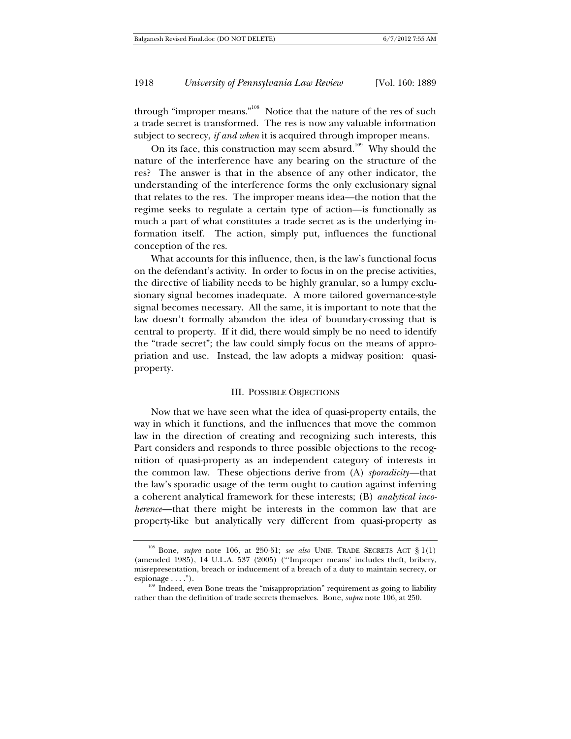through "improper means."<sup>108</sup> Notice that the nature of the res of such a trade secret is transformed. The res is now any valuable information subject to secrecy, *if and when* it is acquired through improper means.

On its face, this construction may seem absurd.<sup>109</sup> Why should the nature of the interference have any bearing on the structure of the res? The answer is that in the absence of any other indicator, the understanding of the interference forms the only exclusionary signal that relates to the res. The improper means idea—the notion that the regime seeks to regulate a certain type of action—is functionally as much a part of what constitutes a trade secret as is the underlying information itself. The action, simply put, influences the functional conception of the res.

What accounts for this influence, then, is the law's functional focus on the defendant's activity. In order to focus in on the precise activities, the directive of liability needs to be highly granular, so a lumpy exclusionary signal becomes inadequate. A more tailored governance-style signal becomes necessary. All the same, it is important to note that the law doesn't formally abandon the idea of boundary-crossing that is central to property. If it did, there would simply be no need to identify the "trade secret"; the law could simply focus on the means of appropriation and use. Instead, the law adopts a midway position: quasiproperty.

#### III. POSSIBLE OBJECTIONS

Now that we have seen what the idea of quasi-property entails, the way in which it functions, and the influences that move the common law in the direction of creating and recognizing such interests, this Part considers and responds to three possible objections to the recognition of quasi-property as an independent category of interests in the common law. These objections derive from (A) *sporadicity*—that the law's sporadic usage of the term ought to caution against inferring a coherent analytical framework for these interests; (B) *analytical incoherence*—that there might be interests in the common law that are property-like but analytically very different from quasi-property as

<sup>108</sup> Bone, *supra* note 106, at 250-51; *see also* UNIF. TRADE SECRETS ACT § 1(1) (amended 1985), 14 U.L.A. 537 (2005) ("'Improper means' includes theft, bribery, misrepresentation, breach or inducement of a breach of a duty to maintain secrecy, or espionage . . . .").

<sup>&</sup>lt;sup>109</sup> Indeed, even Bone treats the "misappropriation" requirement as going to liability rather than the definition of trade secrets themselves. Bone, *supra* note 106, at 250.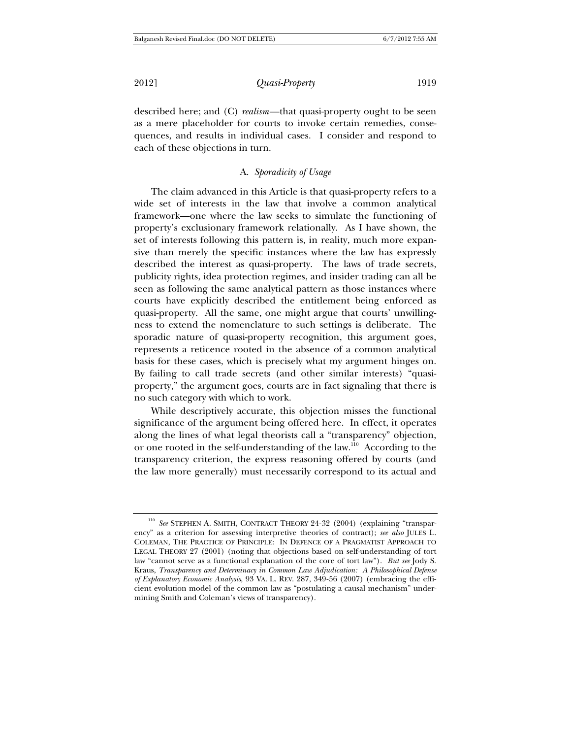described here; and (C) *realism*—that quasi-property ought to be seen as a mere placeholder for courts to invoke certain remedies, consequences, and results in individual cases. I consider and respond to each of these objections in turn.

# A. *Sporadicity of Usage*

The claim advanced in this Article is that quasi-property refers to a wide set of interests in the law that involve a common analytical framework—one where the law seeks to simulate the functioning of property's exclusionary framework relationally. As I have shown, the set of interests following this pattern is, in reality, much more expansive than merely the specific instances where the law has expressly described the interest as quasi-property. The laws of trade secrets, publicity rights, idea protection regimes, and insider trading can all be seen as following the same analytical pattern as those instances where courts have explicitly described the entitlement being enforced as quasi-property. All the same, one might argue that courts' unwillingness to extend the nomenclature to such settings is deliberate. The sporadic nature of quasi-property recognition, this argument goes, represents a reticence rooted in the absence of a common analytical basis for these cases, which is precisely what my argument hinges on. By failing to call trade secrets (and other similar interests) "quasiproperty," the argument goes, courts are in fact signaling that there is no such category with which to work.

While descriptively accurate, this objection misses the functional significance of the argument being offered here. In effect, it operates along the lines of what legal theorists call a "transparency" objection, or one rooted in the self-understanding of the law.110 According to the transparency criterion, the express reasoning offered by courts (and the law more generally) must necessarily correspond to its actual and

<sup>110</sup> *See* STEPHEN A. SMITH, CONTRACT THEORY 24-32 (2004) (explaining "transparency" as a criterion for assessing interpretive theories of contract); *see also* JULES L. COLEMAN, THE PRACTICE OF PRINCIPLE: IN DEFENCE OF A PRAGMATIST APPROACH TO LEGAL THEORY 27 (2001) (noting that objections based on self-understanding of tort law "cannot serve as a functional explanation of the core of tort law"). *But see* Jody S. Kraus, *Transparency and Determinacy in Common Law Adjudication: A Philosophical Defense of Explanatory Economic Analysis*, 93 VA. L. REV. 287, 349-56 (2007) (embracing the efficient evolution model of the common law as "postulating a causal mechanism" undermining Smith and Coleman's views of transparency).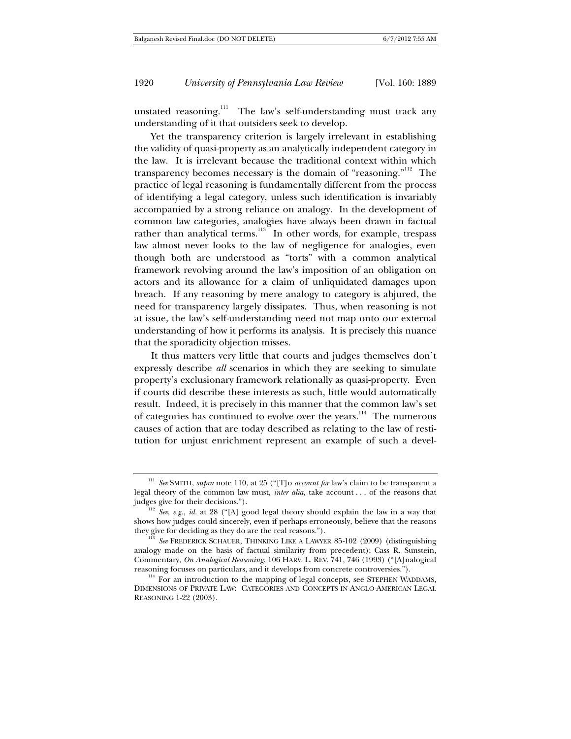unstated reasoning.<sup>111</sup> The law's self-understanding must track any understanding of it that outsiders seek to develop.

Yet the transparency criterion is largely irrelevant in establishing the validity of quasi-property as an analytically independent category in the law. It is irrelevant because the traditional context within which transparency becomes necessary is the domain of "reasoning."<sup>112</sup> The practice of legal reasoning is fundamentally different from the process of identifying a legal category, unless such identification is invariably accompanied by a strong reliance on analogy. In the development of common law categories, analogies have always been drawn in factual rather than analytical terms.<sup>113</sup> In other words, for example, trespass law almost never looks to the law of negligence for analogies, even though both are understood as "torts" with a common analytical framework revolving around the law's imposition of an obligation on actors and its allowance for a claim of unliquidated damages upon breach. If any reasoning by mere analogy to category is abjured, the need for transparency largely dissipates. Thus, when reasoning is not at issue, the law's self-understanding need not map onto our external understanding of how it performs its analysis. It is precisely this nuance that the sporadicity objection misses.

It thus matters very little that courts and judges themselves don't expressly describe *all* scenarios in which they are seeking to simulate property's exclusionary framework relationally as quasi-property. Even if courts did describe these interests as such, little would automatically result. Indeed, it is precisely in this manner that the common law's set of categories has continued to evolve over the years.<sup>114</sup> The numerous causes of action that are today described as relating to the law of restitution for unjust enrichment represent an example of such a devel-

<sup>111</sup> *See* SMITH, *supra* note 110, at 25 ("[T]o *account for* law's claim to be transparent a legal theory of the common law must, *inter alia*, take account . . . of the reasons that judges give for their decisions.").

<sup>&</sup>lt;sup>112</sup> *See, e.g., id.* at 28 ("[A] good legal theory should explain the law in a way that shows how judges could sincerely, even if perhaps erroneously, believe that the reasons they give for deciding as they do are the real reasons."). 113 *See* FREDERICK SCHAUER, THINKING LIKE A LAWYER 85-102 (2009) (distinguishing

analogy made on the basis of factual similarity from precedent); Cass R. Sunstein, Commentary, *On Analogical Reasoning*, 106 HARV. L. REV. 741, 746 (1993) ("[A]nalogical reasoning focuses on particulars, and it develops from concrete controversies."). 114 For an introduction to the mapping of legal concepts, see STEPHEN WADDAMS,

DIMENSIONS OF PRIVATE LAW: CATEGORIES AND CONCEPTS IN ANGLO-AMERICAN LEGAL REASONING 1-22 (2003).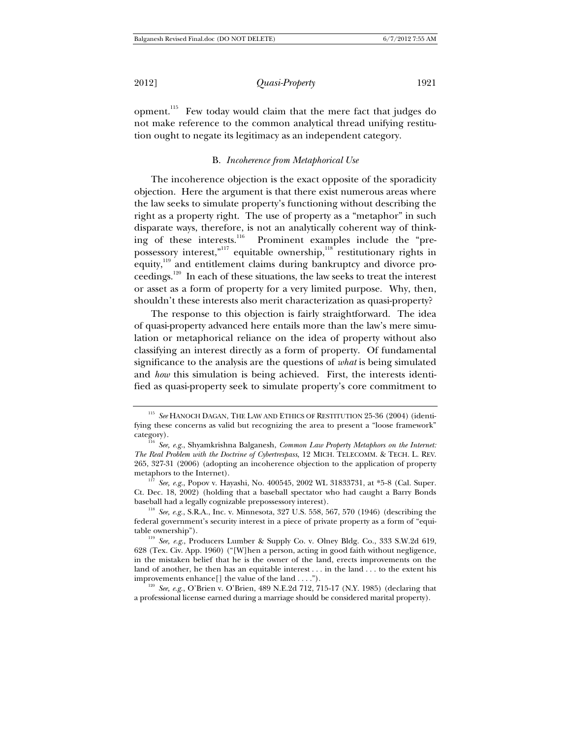2012] *Quasi-Property* 1921

opment.<sup>115</sup> Few today would claim that the mere fact that judges do not make reference to the common analytical thread unifying restitution ought to negate its legitimacy as an independent category.

#### B. *Incoherence from Metaphorical Use*

The incoherence objection is the exact opposite of the sporadicity objection. Here the argument is that there exist numerous areas where the law seeks to simulate property's functioning without describing the right as a property right. The use of property as a "metaphor" in such disparate ways, therefore, is not an analytically coherent way of thinking of these interests.<sup>116</sup> Prominent examples include the "prepossessory interest,<sup>"117</sup> equitable ownership,<sup>118</sup> restitutionary rights in equity,<sup>119</sup> and entitlement claims during bankruptcy and divorce proceedings.120 In each of these situations, the law seeks to treat the interest or asset as a form of property for a very limited purpose. Why, then, shouldn't these interests also merit characterization as quasi-property?

The response to this objection is fairly straightforward. The idea of quasi-property advanced here entails more than the law's mere simulation or metaphorical reliance on the idea of property without also classifying an interest directly as a form of property. Of fundamental significance to the analysis are the questions of *what* is being simulated and *how* this simulation is being achieved. First, the interests identified as quasi-property seek to simulate property's core commitment to

<sup>&</sup>lt;sup>115</sup> See HANOCH DAGAN, THE LAW AND ETHICS OF RESTITUTION 25-36 (2004) (identifying these concerns as valid but recognizing the area to present a "loose framework" category). 116 *See, e.g.*, Shyamkrishna Balganesh, *Common Law Property Metaphors on the Internet:* 

*The Real Problem with the Doctrine of Cybertrespass*, 12 MICH. TELECOMM. & TECH. L. REV. 265, 327-31 (2006) (adopting an incoherence objection to the application of property

 $\frac{117}{117}$  *See, e.g.*, Popov v. Hayashi, No. 400545, 2002 WL 31833731, at \*5-8 (Cal. Super. Ct. Dec. 18, 2002) (holding that a baseball spectator who had caught a Barry Bonds baseball had a legally cognizable prepossessory interest). 118 *See, e.g.*, S.R.A., Inc. v. Minnesota, 327 U.S. 558, 567, 570 (1946) (describing the

federal government's security interest in a piece of private property as a form of "equitable ownership"). 119 *See, e.g.*, Producers Lumber & Supply Co. v. Olney Bldg. Co., 333 S.W.2d 619,

<sup>628 (</sup>Tex. Civ. App. 1960) ("[W]hen a person, acting in good faith without negligence, in the mistaken belief that he is the owner of the land, erects improvements on the land of another, he then has an equitable interest . . . in the land . . . to the extent his improvements enhance[] the value of the land . . . .").<br><sup>120</sup> *See, e.g.*, O'Brien v. O'Brien, 489 N.E.2d 712, 715-17 (N.Y. 1985) (declaring that

a professional license earned during a marriage should be considered marital property).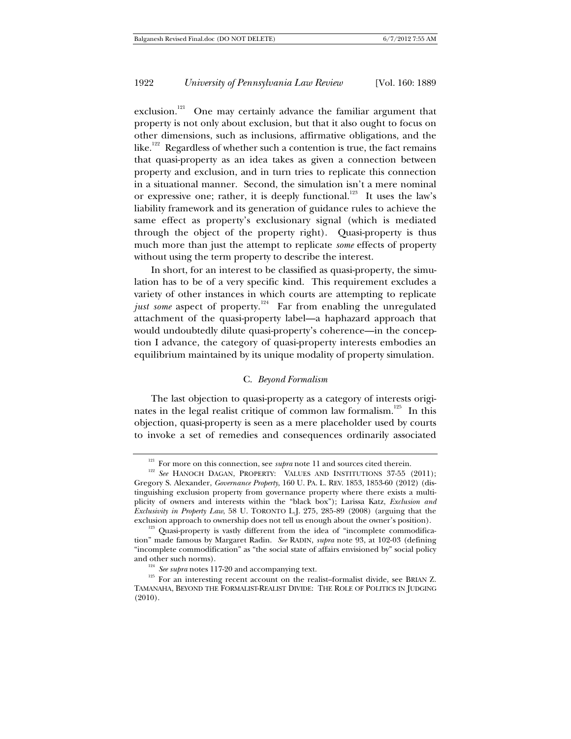exclusion.<sup>121</sup> One may certainly advance the familiar argument that property is not only about exclusion, but that it also ought to focus on other dimensions, such as inclusions, affirmative obligations, and the like.<sup>122</sup> Regardless of whether such a contention is true, the fact remains that quasi-property as an idea takes as given a connection between property and exclusion, and in turn tries to replicate this connection in a situational manner. Second, the simulation isn't a mere nominal or expressive one; rather, it is deeply functional.<sup>123</sup> It uses the law's liability framework and its generation of guidance rules to achieve the same effect as property's exclusionary signal (which is mediated through the object of the property right). Quasi-property is thus much more than just the attempt to replicate *some* effects of property without using the term property to describe the interest.

In short, for an interest to be classified as quasi-property, the simulation has to be of a very specific kind. This requirement excludes a variety of other instances in which courts are attempting to replicate just some aspect of property.<sup>124</sup> Far from enabling the unregulated attachment of the quasi-property label—a haphazard approach that would undoubtedly dilute quasi-property's coherence—in the conception I advance, the category of quasi-property interests embodies an equilibrium maintained by its unique modality of property simulation.

#### C. *Beyond Formalism*

The last objection to quasi-property as a category of interests originates in the legal realist critique of common law formalism.<sup>125</sup> In this objection, quasi-property is seen as a mere placeholder used by courts to invoke a set of remedies and consequences ordinarily associated

<sup>&</sup>lt;sup>121</sup> For more on this connection, see *supra* note 11 and sources cited therein.<br><sup>122</sup> *See* HANOCH DAGAN, PROPERTY: VALUES AND INSTITUTIONS 37-55 (2011); Gregory S. Alexander, *Governance Property*, 160 U. PA. L. REV. 1853, 1853-60 (2012) (distinguishing exclusion property from governance property where there exists a multiplicity of owners and interests within the "black box"); Larissa Katz, *Exclusion and Exclusivity in Property Law*, 58 U. TORONTO L.J. 275, 285-89 (2008) (arguing that the exclusion approach to ownership does not tell us enough about the owner's position).

 $^{123}$  Quasi-property is vastly different from the idea of "incomplete commodification" made famous by Margaret Radin. *See* RADIN, *supra* note 93, at 102-03 (defining "incomplete commodification" as "the social state of affairs envisioned by" social policy

and other such norms).<br><sup>124</sup> *See supra* notes 117-20 and accompanying text.<br><sup>125</sup> For an interesting recent account on the realist–formalist divide, see BRIAN Z. TAMANAHA, BEYOND THE FORMALIST-REALIST DIVIDE: THE ROLE OF POLITICS IN JUDGING (2010).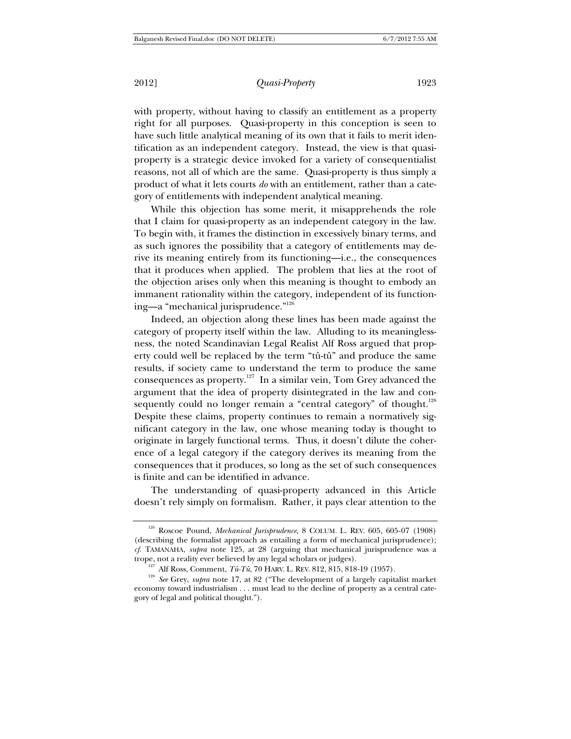2012] *Quasi-Property* 1923

with property, without having to classify an entitlement as a property right for all purposes. Quasi-property in this conception is seen to have such little analytical meaning of its own that it fails to merit identification as an independent category. Instead, the view is that quasiproperty is a strategic device invoked for a variety of consequentialist reasons, not all of which are the same. Quasi-property is thus simply a product of what it lets courts *do* with an entitlement, rather than a category of entitlements with independent analytical meaning.

While this objection has some merit, it misapprehends the role that I claim for quasi-property as an independent category in the law. To begin with, it frames the distinction in excessively binary terms, and as such ignores the possibility that a category of entitlements may derive its meaning entirely from its functioning—i.e., the consequences that it produces when applied. The problem that lies at the root of the objection arises only when this meaning is thought to embody an immanent rationality within the category, independent of its functioning—a "mechanical jurisprudence."126

Indeed, an objection along these lines has been made against the category of property itself within the law. Alluding to its meaninglessness, the noted Scandinavian Legal Realist Alf Ross argued that property could well be replaced by the term "tû-tû" and produce the same results, if society came to understand the term to produce the same consequences as property.127 In a similar vein, Tom Grey advanced the argument that the idea of property disintegrated in the law and consequently could no longer remain a "central category" of thought.<sup>128</sup> Despite these claims, property continues to remain a normatively significant category in the law, one whose meaning today is thought to originate in largely functional terms. Thus, it doesn't dilute the coherence of a legal category if the category derives its meaning from the consequences that it produces, so long as the set of such consequences is finite and can be identified in advance.

The understanding of quasi-property advanced in this Article doesn't rely simply on formalism. Rather, it pays clear attention to the

<sup>126</sup> Roscoe Pound, *Mechanical Jurisprudence*, 8 COLUM. L. REV. 605, 605-07 (1908) (describing the formalist approach as entailing a form of mechanical jurisprudence); *cf.* TAMANAHA, *supra* note 125, at 28 (arguing that mechanical jurisprudence was a

trope, not a reality ever believed by any legal scholars or judges).<br><sup>127</sup> Alf Ross, Comment, *Tû-Tû*, 70 HARV. L. REV. 812, 815, 818-19 (1957).<br><sup>128</sup> See Grey, *supra* note 17, at 82 ("The development of a largely capita economy toward industrialism . . . must lead to the decline of property as a central category of legal and political thought.").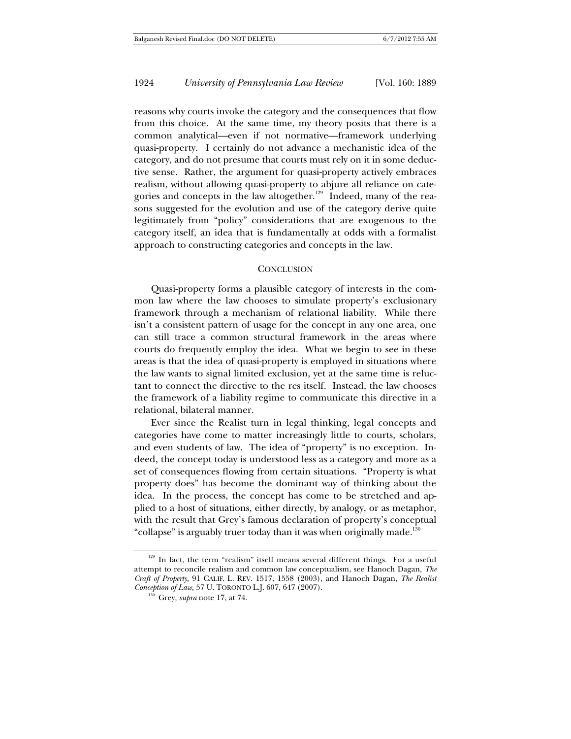reasons why courts invoke the category and the consequences that flow from this choice. At the same time, my theory posits that there is a common analytical—even if not normative—framework underlying quasi-property. I certainly do not advance a mechanistic idea of the category, and do not presume that courts must rely on it in some deductive sense. Rather, the argument for quasi-property actively embraces realism, without allowing quasi-property to abjure all reliance on categories and concepts in the law altogether.<sup>129</sup> Indeed, many of the reasons suggested for the evolution and use of the category derive quite legitimately from "policy" considerations that are exogenous to the category itself, an idea that is fundamentally at odds with a formalist approach to constructing categories and concepts in the law.

#### **CONCLUSION**

Quasi-property forms a plausible category of interests in the common law where the law chooses to simulate property's exclusionary framework through a mechanism of relational liability. While there isn't a consistent pattern of usage for the concept in any one area, one can still trace a common structural framework in the areas where courts do frequently employ the idea. What we begin to see in these areas is that the idea of quasi-property is employed in situations where the law wants to signal limited exclusion, yet at the same time is reluctant to connect the directive to the res itself. Instead, the law chooses the framework of a liability regime to communicate this directive in a relational, bilateral manner.

Ever since the Realist turn in legal thinking, legal concepts and categories have come to matter increasingly little to courts, scholars, and even students of law. The idea of "property" is no exception. Indeed, the concept today is understood less as a category and more as a set of consequences flowing from certain situations. "Property is what property does" has become the dominant way of thinking about the idea. In the process, the concept has come to be stretched and applied to a host of situations, either directly, by analogy, or as metaphor, with the result that Grey's famous declaration of property's conceptual "collapse" is arguably truer today than it was when originally made.<sup>130</sup>

<sup>&</sup>lt;sup>129</sup> In fact, the term "realism" itself means several different things. For a useful attempt to reconcile realism and common law conceptualism, see Hanoch Dagan, *The Craft of Property*, 91 CALIF. L. REV. 1517, 1558 (2003), and Hanoch Dagan, *The Realist Conception of Law*, 57 U. TORONTO L.J. 607, 647 (2007). 130 Grey, *supra* note 17, at 74.